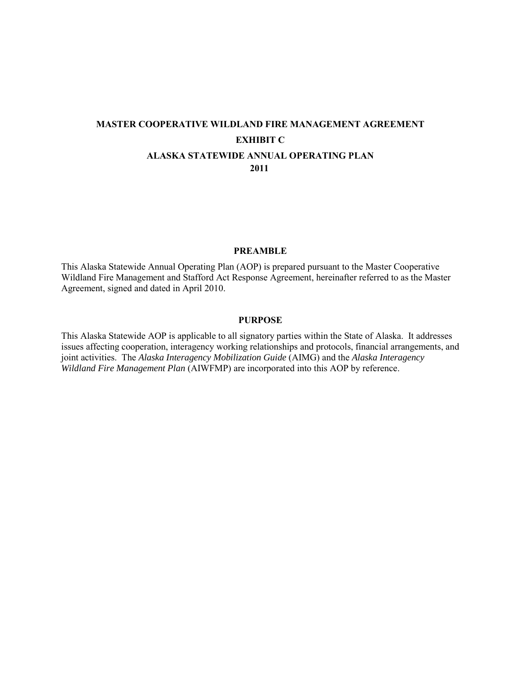# **MASTER COOPERATIVE WILDLAND FIRE MANAGEMENT AGREEMENT EXHIBIT C ALASKA STATEWIDE ANNUAL OPERATING PLAN 2011**

#### **PREAMBLE**

This Alaska Statewide Annual Operating Plan (AOP) is prepared pursuant to the Master Cooperative Wildland Fire Management and Stafford Act Response Agreement, hereinafter referred to as the Master Agreement, signed and dated in April 2010.

#### **PURPOSE**

This Alaska Statewide AOP is applicable to all signatory parties within the State of Alaska. It addresses issues affecting cooperation, interagency working relationships and protocols, financial arrangements, and joint activities. The *Alaska Interagency Mobilization Guide* (AIMG) and the *Alaska Interagency Wildland Fire Management Plan* (AIWFMP) are incorporated into this AOP by reference.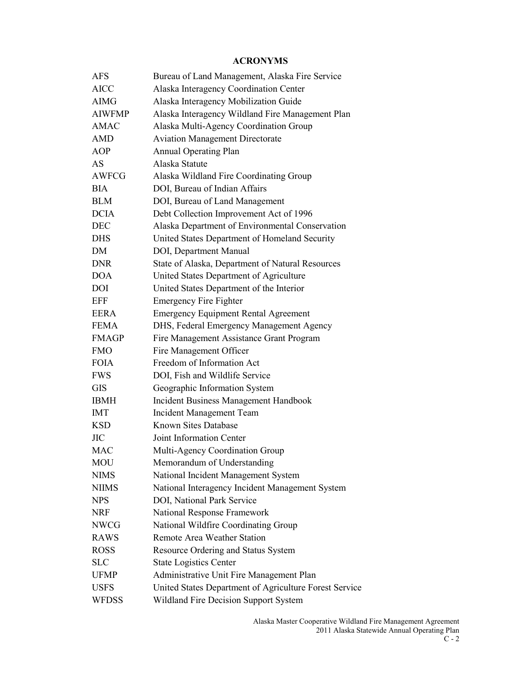### **ACRONYMS**

| <b>AFS</b>    | Bureau of Land Management, Alaska Fire Service         |
|---------------|--------------------------------------------------------|
| <b>AICC</b>   | Alaska Interagency Coordination Center                 |
| <b>AIMG</b>   | Alaska Interagency Mobilization Guide                  |
| <b>AIWFMP</b> | Alaska Interagency Wildland Fire Management Plan       |
| <b>AMAC</b>   | Alaska Multi-Agency Coordination Group                 |
| <b>AMD</b>    | <b>Aviation Management Directorate</b>                 |
| <b>AOP</b>    | <b>Annual Operating Plan</b>                           |
| AS            | Alaska Statute                                         |
| <b>AWFCG</b>  | Alaska Wildland Fire Coordinating Group                |
| <b>BIA</b>    | DOI, Bureau of Indian Affairs                          |
| <b>BLM</b>    | DOI, Bureau of Land Management                         |
| <b>DCIA</b>   | Debt Collection Improvement Act of 1996                |
| <b>DEC</b>    | Alaska Department of Environmental Conservation        |
| <b>DHS</b>    | United States Department of Homeland Security          |
| DM            | DOI, Department Manual                                 |
| <b>DNR</b>    | State of Alaska, Department of Natural Resources       |
| <b>DOA</b>    | United States Department of Agriculture                |
| <b>DOI</b>    | United States Department of the Interior               |
| <b>EFF</b>    | <b>Emergency Fire Fighter</b>                          |
| <b>EERA</b>   | <b>Emergency Equipment Rental Agreement</b>            |
| <b>FEMA</b>   | DHS, Federal Emergency Management Agency               |
| <b>FMAGP</b>  | Fire Management Assistance Grant Program               |
| <b>FMO</b>    | Fire Management Officer                                |
| <b>FOIA</b>   | Freedom of Information Act                             |
| <b>FWS</b>    | DOI, Fish and Wildlife Service                         |
| <b>GIS</b>    | Geographic Information System                          |
| <b>IBMH</b>   | <b>Incident Business Management Handbook</b>           |
| <b>IMT</b>    | <b>Incident Management Team</b>                        |
| <b>KSD</b>    | Known Sites Database                                   |
| <b>JIC</b>    | Joint Information Center                               |
| MAC           | <b>Multi-Agency Coordination Group</b>                 |
| <b>MOU</b>    | Memorandum of Understanding                            |
| <b>NIMS</b>   | National Incident Management System                    |
| <b>NIIMS</b>  | National Interagency Incident Management System        |
| <b>NPS</b>    | DOI, National Park Service                             |
| <b>NRF</b>    | National Response Framework                            |
| <b>NWCG</b>   | National Wildfire Coordinating Group                   |
| <b>RAWS</b>   | <b>Remote Area Weather Station</b>                     |
| <b>ROSS</b>   | Resource Ordering and Status System                    |
| SLC           | <b>State Logistics Center</b>                          |
| <b>UFMP</b>   | Administrative Unit Fire Management Plan               |
| <b>USFS</b>   | United States Department of Agriculture Forest Service |
| <b>WFDSS</b>  | Wildland Fire Decision Support System                  |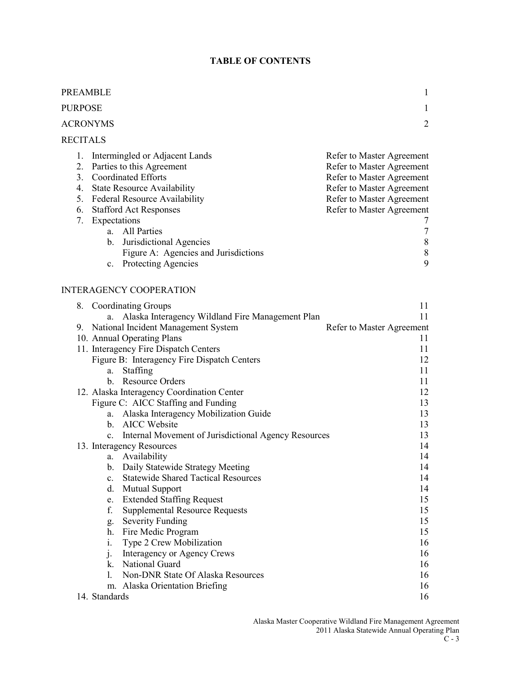# **TABLE OF CONTENTS**

| PREAMBLE<br>1                          |                                                                                                                                                                                                                                                                                                                                     |                                                                                                                                                                                                                  |  |  |
|----------------------------------------|-------------------------------------------------------------------------------------------------------------------------------------------------------------------------------------------------------------------------------------------------------------------------------------------------------------------------------------|------------------------------------------------------------------------------------------------------------------------------------------------------------------------------------------------------------------|--|--|
| PURPOSE<br>$\mathbf{1}$                |                                                                                                                                                                                                                                                                                                                                     |                                                                                                                                                                                                                  |  |  |
| ACRONYMS                               |                                                                                                                                                                                                                                                                                                                                     | $\overline{2}$                                                                                                                                                                                                   |  |  |
|                                        |                                                                                                                                                                                                                                                                                                                                     |                                                                                                                                                                                                                  |  |  |
| <b>RECITALS</b>                        |                                                                                                                                                                                                                                                                                                                                     |                                                                                                                                                                                                                  |  |  |
| 1.<br>2.<br>3.<br>4.<br>5.<br>6.<br>7. | Intermingled or Adjacent Lands<br>Parties to this Agreement<br><b>Coordinated Efforts</b><br><b>State Resource Availability</b><br>Federal Resource Availability<br><b>Stafford Act Responses</b><br>Expectations<br>a. All Parties<br>b. Jurisdictional Agencies<br>Figure A: Agencies and Jurisdictions<br>c. Protecting Agencies | Refer to Master Agreement<br>Refer to Master Agreement<br>Refer to Master Agreement<br>Refer to Master Agreement<br>Refer to Master Agreement<br>Refer to Master Agreement<br>7<br>$\tau$<br>$8\,$<br>$8\,$<br>9 |  |  |
|                                        | <b>INTERAGENCY COOPERATION</b>                                                                                                                                                                                                                                                                                                      |                                                                                                                                                                                                                  |  |  |
| 8.                                     | <b>Coordinating Groups</b>                                                                                                                                                                                                                                                                                                          | 11                                                                                                                                                                                                               |  |  |
|                                        | Alaska Interagency Wildland Fire Management Plan<br>a.                                                                                                                                                                                                                                                                              | 11                                                                                                                                                                                                               |  |  |
|                                        | 9. National Incident Management System                                                                                                                                                                                                                                                                                              | Refer to Master Agreement                                                                                                                                                                                        |  |  |
|                                        | 10. Annual Operating Plans                                                                                                                                                                                                                                                                                                          | 11                                                                                                                                                                                                               |  |  |
|                                        | 11. Interagency Fire Dispatch Centers                                                                                                                                                                                                                                                                                               | 11                                                                                                                                                                                                               |  |  |
|                                        | Figure B: Interagency Fire Dispatch Centers                                                                                                                                                                                                                                                                                         | 12                                                                                                                                                                                                               |  |  |
|                                        | Staffing<br>a.                                                                                                                                                                                                                                                                                                                      | 11                                                                                                                                                                                                               |  |  |
|                                        | b. Resource Orders                                                                                                                                                                                                                                                                                                                  | 11                                                                                                                                                                                                               |  |  |
|                                        | 12. Alaska Interagency Coordination Center                                                                                                                                                                                                                                                                                          | 12                                                                                                                                                                                                               |  |  |
|                                        | Figure C: AICC Staffing and Funding                                                                                                                                                                                                                                                                                                 | 13                                                                                                                                                                                                               |  |  |
|                                        | a. Alaska Interagency Mobilization Guide                                                                                                                                                                                                                                                                                            | 13                                                                                                                                                                                                               |  |  |
|                                        | b. AICC Website                                                                                                                                                                                                                                                                                                                     | 13                                                                                                                                                                                                               |  |  |
|                                        | Internal Movement of Jurisdictional Agency Resources<br>$\mathbf{c}$ .                                                                                                                                                                                                                                                              | 13                                                                                                                                                                                                               |  |  |
|                                        | 13. Interagency Resources                                                                                                                                                                                                                                                                                                           | 14                                                                                                                                                                                                               |  |  |
|                                        | Availability<br>a.                                                                                                                                                                                                                                                                                                                  | 14                                                                                                                                                                                                               |  |  |
|                                        | Daily Statewide Strategy Meeting<br>b.                                                                                                                                                                                                                                                                                              | 14                                                                                                                                                                                                               |  |  |
|                                        | <b>Statewide Shared Tactical Resources</b><br>$\mathbf{c}$ .                                                                                                                                                                                                                                                                        | 14                                                                                                                                                                                                               |  |  |
|                                        | Mutual Support<br>d.                                                                                                                                                                                                                                                                                                                | 14                                                                                                                                                                                                               |  |  |
|                                        | <b>Extended Staffing Request</b><br>e.                                                                                                                                                                                                                                                                                              | 15                                                                                                                                                                                                               |  |  |
|                                        | f.<br><b>Supplemental Resource Requests</b>                                                                                                                                                                                                                                                                                         | 15                                                                                                                                                                                                               |  |  |
|                                        | <b>Severity Funding</b><br>g.                                                                                                                                                                                                                                                                                                       | 15                                                                                                                                                                                                               |  |  |
|                                        | Fire Medic Program<br>h.                                                                                                                                                                                                                                                                                                            | 15                                                                                                                                                                                                               |  |  |
|                                        | Type 2 Crew Mobilization<br>1.                                                                                                                                                                                                                                                                                                      | 16                                                                                                                                                                                                               |  |  |
|                                        | Interagency or Agency Crews<br>j.                                                                                                                                                                                                                                                                                                   | 16                                                                                                                                                                                                               |  |  |
|                                        | National Guard<br>k.                                                                                                                                                                                                                                                                                                                | 16                                                                                                                                                                                                               |  |  |
|                                        | <b>Non-DNR State Of Alaska Resources</b><br>1.                                                                                                                                                                                                                                                                                      | 16                                                                                                                                                                                                               |  |  |
|                                        | m. Alaska Orientation Briefing                                                                                                                                                                                                                                                                                                      | 16                                                                                                                                                                                                               |  |  |
|                                        | 14. Standards                                                                                                                                                                                                                                                                                                                       | 16                                                                                                                                                                                                               |  |  |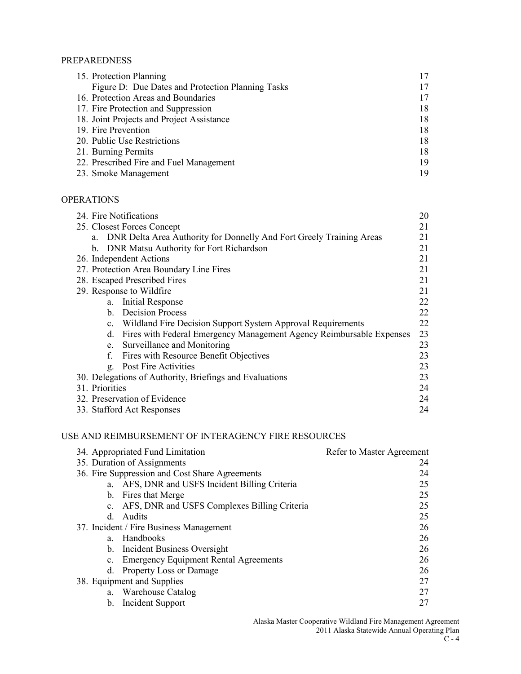### PREPAREDNESS

| 15. Protection Planning                           | 17 |
|---------------------------------------------------|----|
| Figure D: Due Dates and Protection Planning Tasks | 17 |
| 16. Protection Areas and Boundaries               | 17 |
| 17. Fire Protection and Suppression               | 18 |
| 18. Joint Projects and Project Assistance         | 18 |
| 19. Fire Prevention                               | 18 |
| 20. Public Use Restrictions                       | 18 |
| 21. Burning Permits                               | 18 |
| 22. Prescribed Fire and Fuel Management           | 19 |
| 23. Smoke Management                              | 19 |

## **OPERATIONS**

| 24. Fire Notifications                                                     |    |  |
|----------------------------------------------------------------------------|----|--|
| 25. Closest Forces Concept                                                 |    |  |
| DNR Delta Area Authority for Donnelly And Fort Greely Training Areas<br>a. | 21 |  |
| DNR Matsu Authority for Fort Richardson<br>$b_{-}$                         | 21 |  |
| 26. Independent Actions                                                    | 21 |  |
| 27. Protection Area Boundary Line Fires                                    | 21 |  |
| 28. Escaped Prescribed Fires                                               | 21 |  |
| 29. Response to Wildfire                                                   | 21 |  |
| Initial Response<br>a.                                                     | 22 |  |
| <b>Decision Process</b><br>$\mathbf{b}$ .                                  | 22 |  |
| Wildland Fire Decision Support System Approval Requirements<br>$c_{\cdot}$ | 22 |  |
| Fires with Federal Emergency Management Agency Reimbursable Expenses<br>d. | 23 |  |
| Surveillance and Monitoring<br>e.                                          | 23 |  |
| Fires with Resource Benefit Objectives<br>f.                               | 23 |  |
| Post Fire Activities<br>g.                                                 | 23 |  |
| 30. Delegations of Authority, Briefings and Evaluations<br>23              |    |  |
| 31. Priorities<br>24                                                       |    |  |
| 32. Preservation of Evidence<br>24                                         |    |  |
| 24<br>33. Stafford Act Responses                                           |    |  |

# USE AND REIMBURSEMENT OF INTERAGENCY FIRE RESOURCES

|                             | 34. Appropriated Fund Limitation               | Refer to Master Agreement |
|-----------------------------|------------------------------------------------|---------------------------|
| 35. Duration of Assignments |                                                | 24                        |
|                             | 36. Fire Suppression and Cost Share Agreements | 24                        |
|                             | a. AFS, DNR and USFS Incident Billing Criteria | 25                        |
|                             | b. Fires that Merge                            | 25                        |
| $c_{\cdot}$                 | AFS, DNR and USFS Complexes Billing Criteria   | 25                        |
| <sub>d</sub>                | Audits                                         | 25                        |
|                             | 37. Incident / Fire Business Management        | 26                        |
| a                           | Handbooks                                      | 26                        |
|                             | b. Incident Business Oversight                 | 26                        |
|                             | c. Emergency Equipment Rental Agreements       | 26                        |
| d.                          | Property Loss or Damage                        | 26                        |
|                             | 38. Equipment and Supplies                     | 27                        |
|                             | a. Warehouse Catalog                           | 27                        |
| $\mathbf{b}$ .              | Incident Support                               | 27                        |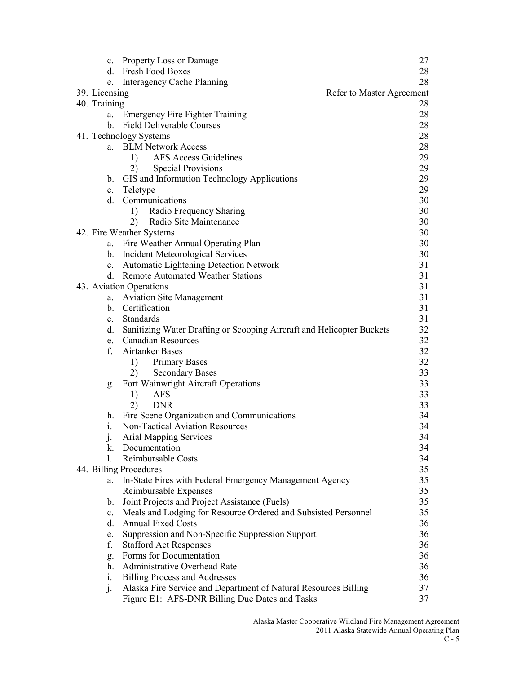| $\mathbf{c}$ . | <b>Property Loss or Damage</b>                                        | 27 |
|----------------|-----------------------------------------------------------------------|----|
| d.             | Fresh Food Boxes                                                      | 28 |
| e.             | <b>Interagency Cache Planning</b>                                     | 28 |
| 39. Licensing  | Refer to Master Agreement                                             |    |
| 40. Training   |                                                                       | 28 |
|                | a. Emergency Fire Fighter Training                                    | 28 |
|                | b. Field Deliverable Courses                                          | 28 |
|                | 41. Technology Systems                                                | 28 |
|                | a. BLM Network Access                                                 | 28 |
|                | <b>AFS Access Guidelines</b><br>1)                                    | 29 |
|                | 2)<br><b>Special Provisions</b>                                       | 29 |
| b.             | GIS and Information Technology Applications                           | 29 |
| $\mathbf{c}$ . | Teletype                                                              | 29 |
| d.             | Communications                                                        | 30 |
|                | Radio Frequency Sharing<br>1)                                         | 30 |
|                | Radio Site Maintenance<br>2)                                          | 30 |
|                | 42. Fire Weather Systems                                              | 30 |
| a.             | Fire Weather Annual Operating Plan                                    | 30 |
| $\mathbf{b}$ . | <b>Incident Meteorological Services</b>                               | 30 |
| $\mathbf{c}$ . | Automatic Lightening Detection Network                                | 31 |
| d.             | <b>Remote Automated Weather Stations</b>                              | 31 |
|                | 43. Aviation Operations                                               | 31 |
| a.             | <b>Aviation Site Management</b>                                       | 31 |
|                | b. Certification                                                      | 31 |
| $\mathbf{c}$ . | Standards                                                             | 31 |
| d.             | Sanitizing Water Drafting or Scooping Aircraft and Helicopter Buckets | 32 |
| e.             | <b>Canadian Resources</b>                                             | 32 |
| f.             | <b>Airtanker Bases</b>                                                | 32 |
|                | <b>Primary Bases</b><br>1)                                            | 32 |
|                | <b>Secondary Bases</b><br>2)                                          | 33 |
| g.             | Fort Wainwright Aircraft Operations                                   | 33 |
|                | 1)<br><b>AFS</b>                                                      | 33 |
|                | 2)<br><b>DNR</b>                                                      | 33 |
| h.             | Fire Scene Organization and Communications                            | 34 |
| 1.             | <b>Non-Tactical Aviation Resources</b>                                | 34 |
|                | Arial Mapping Services                                                | 34 |
| k.             | Documentation                                                         | 34 |
| 1.             | Reimbursable Costs                                                    | 34 |
|                | 44. Billing Procedures                                                | 35 |
| a.             | In-State Fires with Federal Emergency Management Agency               | 35 |
|                | Reimbursable Expenses                                                 | 35 |
| b.             | Joint Projects and Project Assistance (Fuels)                         | 35 |
| $\mathbf{c}$ . | Meals and Lodging for Resource Ordered and Subsisted Personnel        | 35 |
| d.             | <b>Annual Fixed Costs</b>                                             | 36 |
| e.             | Suppression and Non-Specific Suppression Support                      | 36 |
| f.             | <b>Stafford Act Responses</b>                                         | 36 |
| g.             | Forms for Documentation                                               | 36 |
| h.             | Administrative Overhead Rate                                          | 36 |
| i.             | <b>Billing Process and Addresses</b>                                  | 36 |
| j.             | Alaska Fire Service and Department of Natural Resources Billing       | 37 |
|                | Figure E1: AFS-DNR Billing Due Dates and Tasks                        | 37 |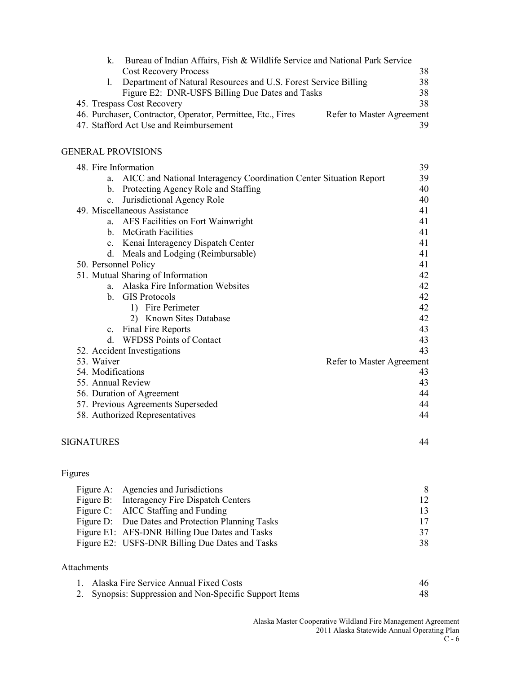| Bureau of Indian Affairs, Fish & Wildlife Service and National Park Service<br>K. |                           |
|-----------------------------------------------------------------------------------|---------------------------|
| <b>Cost Recovery Process</b>                                                      | 38                        |
| Department of Natural Resources and U.S. Forest Service Billing                   | 38                        |
| Figure E2: DNR-USFS Billing Due Dates and Tasks                                   | 38                        |
| 45. Trespass Cost Recovery                                                        | 38                        |
| 46. Purchaser, Contractor, Operator, Permittee, Etc., Fires                       | Refer to Master Agreement |
| 47. Stafford Act Use and Reimbursement                                            |                           |

#### GENERAL PROVISIONS

|                   | 48. Fire Information                                               | 39                        |
|-------------------|--------------------------------------------------------------------|---------------------------|
| a.                | AICC and National Interagency Coordination Center Situation Report | 39                        |
| $\mathbf{b}$ .    | Protecting Agency Role and Staffing                                | 40                        |
| C <sub>1</sub>    | Jurisdictional Agency Role                                         | 40                        |
|                   | 49. Miscellaneous Assistance                                       | 41                        |
|                   | a. AFS Facilities on Fort Wainwright                               | 41                        |
|                   | b. McGrath Facilities                                              | 41                        |
|                   | c. Kenai Interagency Dispatch Center                               | 41                        |
| d.                | Meals and Lodging (Reimbursable)                                   | 41                        |
|                   | 50. Personnel Policy                                               | 41                        |
|                   | 51. Mutual Sharing of Information                                  | 42                        |
| a.                | <b>Alaska Fire Information Websites</b>                            | 42                        |
|                   | b. GIS Protocols                                                   | 42                        |
|                   | 1) Fire Perimeter                                                  | 42                        |
|                   | 2) Known Sites Database                                            | 42                        |
| $c_{-}$           | Final Fire Reports                                                 | 43                        |
| d.                | <b>WFDSS Points of Contact</b>                                     | 43                        |
|                   | 52. Accident Investigations                                        | 43                        |
| 53. Waiver        |                                                                    | Refer to Master Agreement |
| 54. Modifications |                                                                    | 43                        |
|                   | 55. Annual Review                                                  | 43                        |
|                   | 56. Duration of Agreement                                          | 44                        |
|                   | 57. Previous Agreements Superseded                                 | 44                        |
|                   | 58. Authorized Representatives                                     | 44                        |

## SIGNATURES 44

| 911F |
|------|
|      |
|      |

| Figure A: Agencies and Jurisdictions              | 8               |
|---------------------------------------------------|-----------------|
| Figure B: Interagency Fire Dispatch Centers       | 12 <sup>°</sup> |
| Figure C: AICC Staffing and Funding               | 13              |
| Figure D: Due Dates and Protection Planning Tasks | 17              |
| Figure E1: AFS-DNR Billing Due Dates and Tasks    | 37              |
| Figure E2: USFS-DNR Billing Due Dates and Tasks   | 38              |

# Attachments

| 1. Alaska Fire Service Annual Fixed Costs               | 46  |
|---------------------------------------------------------|-----|
| 2. Synopsis: Suppression and Non-Specific Support Items | -48 |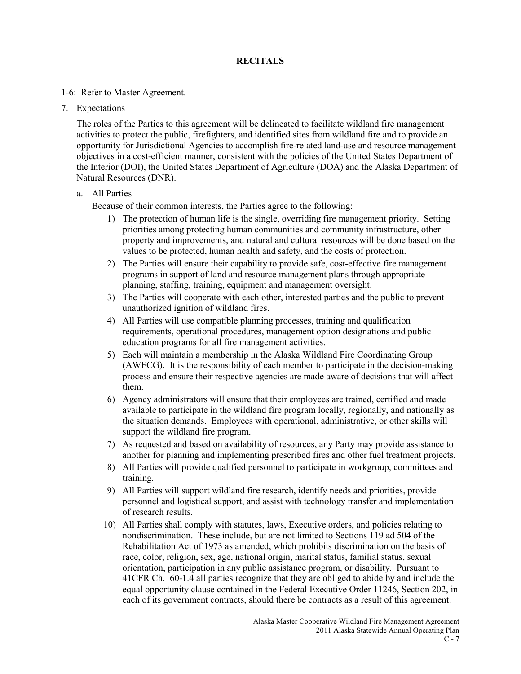### **RECITALS**

### 1-6: Refer to Master Agreement.

7. Expectations

The roles of the Parties to this agreement will be delineated to facilitate wildland fire management activities to protect the public, firefighters, and identified sites from wildland fire and to provide an opportunity for Jurisdictional Agencies to accomplish fire-related land-use and resource management objectives in a cost-efficient manner, consistent with the policies of the United States Department of the Interior (DOI), the United States Department of Agriculture (DOA) and the Alaska Department of Natural Resources (DNR).

### a. All Parties

Because of their common interests, the Parties agree to the following:

- 1) The protection of human life is the single, overriding fire management priority. Setting priorities among protecting human communities and community infrastructure, other property and improvements, and natural and cultural resources will be done based on the values to be protected, human health and safety, and the costs of protection.
- 2) The Parties will ensure their capability to provide safe, cost-effective fire management programs in support of land and resource management plans through appropriate planning, staffing, training, equipment and management oversight.
- 3) The Parties will cooperate with each other, interested parties and the public to prevent unauthorized ignition of wildland fires.
- 4) All Parties will use compatible planning processes, training and qualification requirements, operational procedures, management option designations and public education programs for all fire management activities.
- 5) Each will maintain a membership in the Alaska Wildland Fire Coordinating Group (AWFCG). It is the responsibility of each member to participate in the decision-making process and ensure their respective agencies are made aware of decisions that will affect them.
- 6) Agency administrators will ensure that their employees are trained, certified and made available to participate in the wildland fire program locally, regionally, and nationally as the situation demands. Employees with operational, administrative, or other skills will support the wildland fire program.
- 7) As requested and based on availability of resources, any Party may provide assistance to another for planning and implementing prescribed fires and other fuel treatment projects.
- 8) All Parties will provide qualified personnel to participate in workgroup, committees and training.
- 9) All Parties will support wildland fire research, identify needs and priorities, provide personnel and logistical support, and assist with technology transfer and implementation of research results.
- 10) All Parties shall comply with statutes, laws, Executive orders, and policies relating to nondiscrimination. These include, but are not limited to Sections 119 ad 504 of the Rehabilitation Act of 1973 as amended, which prohibits discrimination on the basis of race, color, religion, sex, age, national origin, marital status, familial status, sexual orientation, participation in any public assistance program, or disability. Pursuant to 41CFR Ch. 60-1.4 all parties recognize that they are obliged to abide by and include the equal opportunity clause contained in the Federal Executive Order 11246, Section 202, in each of its government contracts, should there be contracts as a result of this agreement.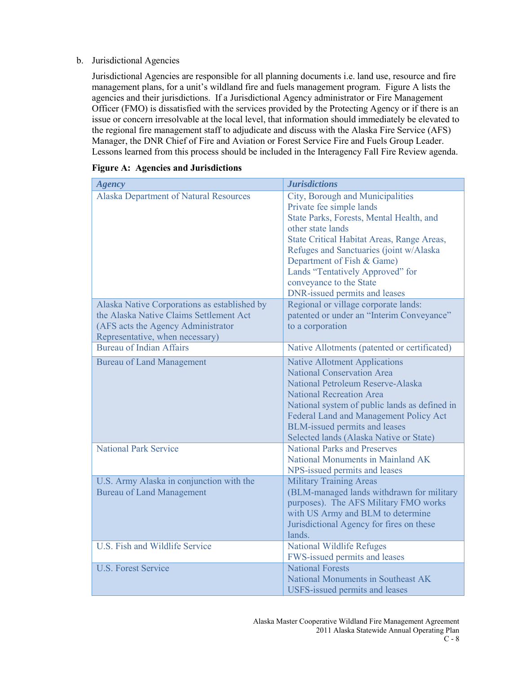#### b. Jurisdictional Agencies

Jurisdictional Agencies are responsible for all planning documents i.e. land use, resource and fire management plans, for a unit's wildland fire and fuels management program. Figure A lists the agencies and their jurisdictions. If a Jurisdictional Agency administrator or Fire Management Officer (FMO) is dissatisfied with the services provided by the Protecting Agency or if there is an issue or concern irresolvable at the local level, that information should immediately be elevated to the regional fire management staff to adjudicate and discuss with the Alaska Fire Service (AFS) Manager, the DNR Chief of Fire and Aviation or Forest Service Fire and Fuels Group Leader. Lessons learned from this process should be included in the Interagency Fall Fire Review agenda.

| <b>Agency</b>                                                                                                                                                    | <b>Jurisdictions</b>                                                                                                                                                                                                                                                                                                                                 |
|------------------------------------------------------------------------------------------------------------------------------------------------------------------|------------------------------------------------------------------------------------------------------------------------------------------------------------------------------------------------------------------------------------------------------------------------------------------------------------------------------------------------------|
| Alaska Department of Natural Resources                                                                                                                           | City, Borough and Municipalities<br>Private fee simple lands<br>State Parks, Forests, Mental Health, and<br>other state lands<br>State Critical Habitat Areas, Range Areas,<br>Refuges and Sanctuaries (joint w/Alaska<br>Department of Fish & Game)<br>Lands "Tentatively Approved" for<br>conveyance to the State<br>DNR-issued permits and leases |
| Alaska Native Corporations as established by<br>the Alaska Native Claims Settlement Act<br>(AFS acts the Agency Administrator<br>Representative, when necessary) | Regional or village corporate lands:<br>patented or under an "Interim Conveyance"<br>to a corporation                                                                                                                                                                                                                                                |
| <b>Bureau of Indian Affairs</b>                                                                                                                                  | Native Allotments (patented or certificated)                                                                                                                                                                                                                                                                                                         |
| <b>Bureau of Land Management</b>                                                                                                                                 | <b>Native Allotment Applications</b><br><b>National Conservation Area</b><br>National Petroleum Reserve-Alaska<br><b>National Recreation Area</b><br>National system of public lands as defined in<br>Federal Land and Management Policy Act<br>BLM-issued permits and leases<br>Selected lands (Alaska Native or State)                             |
| <b>National Park Service</b>                                                                                                                                     | <b>National Parks and Preserves</b><br>National Monuments in Mainland AK<br>NPS-issued permits and leases                                                                                                                                                                                                                                            |
| U.S. Army Alaska in conjunction with the<br><b>Bureau of Land Management</b>                                                                                     | <b>Military Training Areas</b><br>(BLM-managed lands withdrawn for military<br>purposes). The AFS Military FMO works<br>with US Army and BLM to determine<br>Jurisdictional Agency for fires on these<br>lands.                                                                                                                                      |
| U.S. Fish and Wildlife Service                                                                                                                                   | <b>National Wildlife Refuges</b><br>FWS-issued permits and leases                                                                                                                                                                                                                                                                                    |
| <b>U.S. Forest Service</b>                                                                                                                                       | <b>National Forests</b><br>National Monuments in Southeast AK<br><b>USFS-issued permits and leases</b>                                                                                                                                                                                                                                               |

### **Figure A: Agencies and Jurisdictions**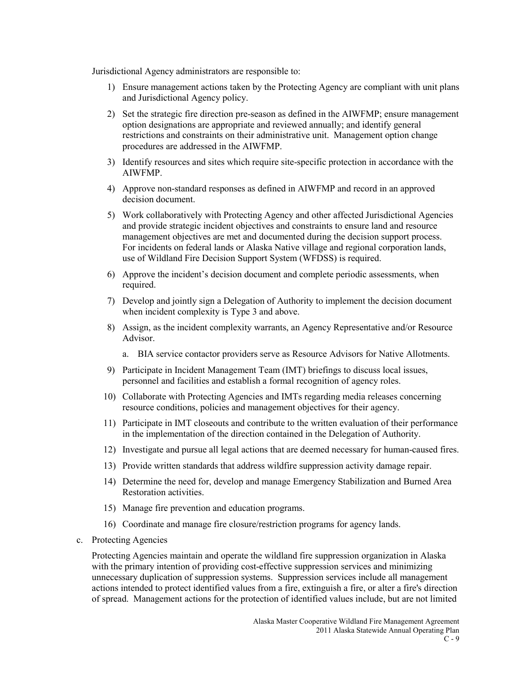Jurisdictional Agency administrators are responsible to:

- 1) Ensure management actions taken by the Protecting Agency are compliant with unit plans and Jurisdictional Agency policy.
- 2) Set the strategic fire direction pre-season as defined in the AIWFMP; ensure management option designations are appropriate and reviewed annually; and identify general restrictions and constraints on their administrative unit. Management option change procedures are addressed in the AIWFMP.
- 3) Identify resources and sites which require site-specific protection in accordance with the AIWFMP.
- 4) Approve non-standard responses as defined in AIWFMP and record in an approved decision document.
- 5) Work collaboratively with Protecting Agency and other affected Jurisdictional Agencies and provide strategic incident objectives and constraints to ensure land and resource management objectives are met and documented during the decision support process. For incidents on federal lands or Alaska Native village and regional corporation lands, use of Wildland Fire Decision Support System (WFDSS) is required.
- 6) Approve the incident's decision document and complete periodic assessments, when required.
- 7) Develop and jointly sign a Delegation of Authority to implement the decision document when incident complexity is Type 3 and above.
- 8) Assign, as the incident complexity warrants, an Agency Representative and/or Resource Advisor.
	- a. BIA service contactor providers serve as Resource Advisors for Native Allotments.
- 9) Participate in Incident Management Team (IMT) briefings to discuss local issues, personnel and facilities and establish a formal recognition of agency roles.
- 10) Collaborate with Protecting Agencies and IMTs regarding media releases concerning resource conditions, policies and management objectives for their agency.
- 11) Participate in IMT closeouts and contribute to the written evaluation of their performance in the implementation of the direction contained in the Delegation of Authority.
- 12) Investigate and pursue all legal actions that are deemed necessary for human-caused fires.
- 13) Provide written standards that address wildfire suppression activity damage repair.
- 14) Determine the need for, develop and manage Emergency Stabilization and Burned Area Restoration activities.
- 15) Manage fire prevention and education programs.
- 16) Coordinate and manage fire closure/restriction programs for agency lands.
- c. Protecting Agencies

Protecting Agencies maintain and operate the wildland fire suppression organization in Alaska with the primary intention of providing cost-effective suppression services and minimizing unnecessary duplication of suppression systems. Suppression services include all management actions intended to protect identified values from a fire, extinguish a fire, or alter a fire's direction of spread. Management actions for the protection of identified values include, but are not limited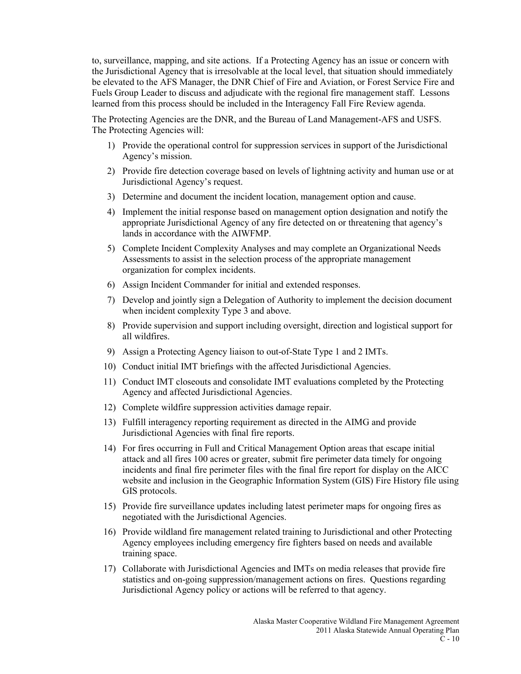to, surveillance, mapping, and site actions. If a Protecting Agency has an issue or concern with the Jurisdictional Agency that is irresolvable at the local level, that situation should immediately be elevated to the AFS Manager, the DNR Chief of Fire and Aviation, or Forest Service Fire and Fuels Group Leader to discuss and adjudicate with the regional fire management staff. Lessons learned from this process should be included in the Interagency Fall Fire Review agenda.

The Protecting Agencies are the DNR, and the Bureau of Land Management-AFS and USFS. The Protecting Agencies will:

- 1) Provide the operational control for suppression services in support of the Jurisdictional Agency's mission.
- 2) Provide fire detection coverage based on levels of lightning activity and human use or at Jurisdictional Agency's request.
- 3) Determine and document the incident location, management option and cause.
- 4) Implement the initial response based on management option designation and notify the appropriate Jurisdictional Agency of any fire detected on or threatening that agency's lands in accordance with the AIWFMP.
- 5) Complete Incident Complexity Analyses and may complete an Organizational Needs Assessments to assist in the selection process of the appropriate management organization for complex incidents.
- 6) Assign Incident Commander for initial and extended responses.
- 7) Develop and jointly sign a Delegation of Authority to implement the decision document when incident complexity Type 3 and above.
- 8) Provide supervision and support including oversight, direction and logistical support for all wildfires.
- 9) Assign a Protecting Agency liaison to out-of-State Type 1 and 2 IMTs.
- 10) Conduct initial IMT briefings with the affected Jurisdictional Agencies.
- 11) Conduct IMT closeouts and consolidate IMT evaluations completed by the Protecting Agency and affected Jurisdictional Agencies.
- 12) Complete wildfire suppression activities damage repair.
- 13) Fulfill interagency reporting requirement as directed in the AIMG and provide Jurisdictional Agencies with final fire reports.
- 14) For fires occurring in Full and Critical Management Option areas that escape initial attack and all fires 100 acres or greater, submit fire perimeter data timely for ongoing incidents and final fire perimeter files with the final fire report for display on the AICC website and inclusion in the Geographic Information System (GIS) Fire History file using GIS protocols.
- 15) Provide fire surveillance updates including latest perimeter maps for ongoing fires as negotiated with the Jurisdictional Agencies.
- 16) Provide wildland fire management related training to Jurisdictional and other Protecting Agency employees including emergency fire fighters based on needs and available training space.
- 17) Collaborate with Jurisdictional Agencies and IMTs on media releases that provide fire statistics and on-going suppression/management actions on fires. Questions regarding Jurisdictional Agency policy or actions will be referred to that agency.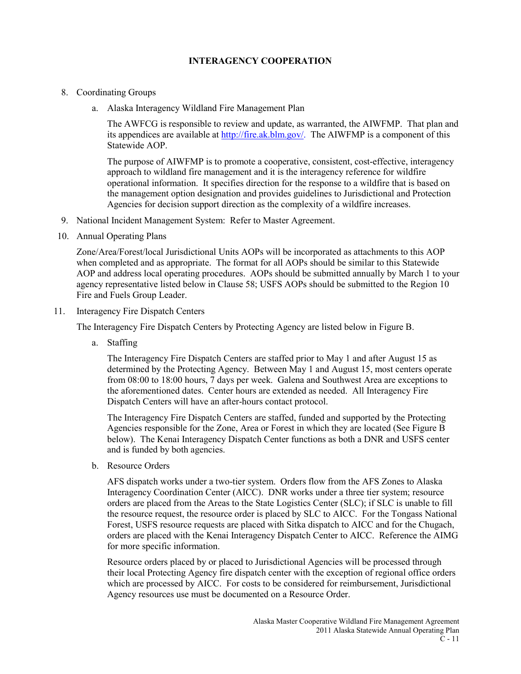### **INTERAGENCY COOPERATION**

- 8. Coordinating Groups
	- a. Alaska Interagency Wildland Fire Management Plan

The AWFCG is responsible to review and update, as warranted, the AIWFMP. That plan and its appendices are available at [http://fire.ak.blm.gov/.](http://fire.ak.blm.gov/) The AIWFMP is a component of this Statewide AOP.

The purpose of AIWFMP is to promote a cooperative, consistent, cost-effective, interagency approach to wildland fire management and it is the interagency reference for wildfire operational information. It specifies direction for the response to a wildfire that is based on the management option designation and provides guidelines to Jurisdictional and Protection Agencies for decision support direction as the complexity of a wildfire increases.

- 9. National Incident Management System: Refer to Master Agreement.
- 10. Annual Operating Plans

Zone/Area/Forest/local Jurisdictional Units AOPs will be incorporated as attachments to this AOP when completed and as appropriate. The format for all AOPs should be similar to this Statewide AOP and address local operating procedures. AOPs should be submitted annually by March 1 to your agency representative listed below in Clause 58; USFS AOPs should be submitted to the Region 10 Fire and Fuels Group Leader.

11. Interagency Fire Dispatch Centers

The Interagency Fire Dispatch Centers by Protecting Agency are listed below in Figure B.

a. Staffing

The Interagency Fire Dispatch Centers are staffed prior to May 1 and after August 15 as determined by the Protecting Agency. Between May 1 and August 15, most centers operate from 08:00 to 18:00 hours, 7 days per week. Galena and Southwest Area are exceptions to the aforementioned dates. Center hours are extended as needed. All Interagency Fire Dispatch Centers will have an after-hours contact protocol.

The Interagency Fire Dispatch Centers are staffed, funded and supported by the Protecting Agencies responsible for the Zone, Area or Forest in which they are located (See Figure B below). The Kenai Interagency Dispatch Center functions as both a DNR and USFS center and is funded by both agencies.

b. Resource Orders

AFS dispatch works under a two-tier system. Orders flow from the AFS Zones to Alaska Interagency Coordination Center (AICC). DNR works under a three tier system; resource orders are placed from the Areas to the State Logistics Center (SLC); if SLC is unable to fill the resource request, the resource order is placed by SLC to AICC. For the Tongass National Forest, USFS resource requests are placed with Sitka dispatch to AICC and for the Chugach, orders are placed with the Kenai Interagency Dispatch Center to AICC. Reference the AIMG for more specific information.

Resource orders placed by or placed to Jurisdictional Agencies will be processed through their local Protecting Agency fire dispatch center with the exception of regional office orders which are processed by AICC. For costs to be considered for reimbursement, Jurisdictional Agency resources use must be documented on a Resource Order.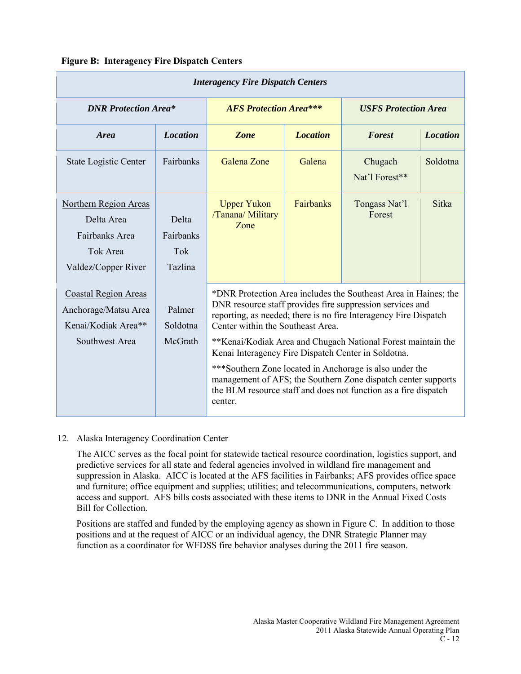## **Figure B: Interagency Fire Dispatch Centers**

| <b>Interagency Fire Dispatch Centers</b>                                                     |                                             |                                                                                                                                                                                                                                                                                                                                                                                                                                                                                                                                                                        |                 |                             |                 |
|----------------------------------------------------------------------------------------------|---------------------------------------------|------------------------------------------------------------------------------------------------------------------------------------------------------------------------------------------------------------------------------------------------------------------------------------------------------------------------------------------------------------------------------------------------------------------------------------------------------------------------------------------------------------------------------------------------------------------------|-----------------|-----------------------------|-----------------|
| <b>DNR Protection Area*</b>                                                                  |                                             | <b>AFS Protection Area***</b>                                                                                                                                                                                                                                                                                                                                                                                                                                                                                                                                          |                 | <b>USFS Protection Area</b> |                 |
| <b>Area</b>                                                                                  | <b>Location</b>                             | Zone                                                                                                                                                                                                                                                                                                                                                                                                                                                                                                                                                                   | <b>Location</b> | <b>Forest</b>               | <b>Location</b> |
| <b>State Logistic Center</b>                                                                 | Fairbanks                                   | Galena Zone                                                                                                                                                                                                                                                                                                                                                                                                                                                                                                                                                            | Galena          | Chugach<br>Nat'l Forest**   | Soldotna        |
| Northern Region Areas<br>Delta Area<br>Fairbanks Area<br>Tok Area<br>Valdez/Copper River     | Delta<br>Fairbanks<br>Tok<br><b>Tazlina</b> | <b>Upper Yukon</b><br>/Tanana/ Military<br>Zone                                                                                                                                                                                                                                                                                                                                                                                                                                                                                                                        | Fairbanks       | Tongass Nat'l<br>Forest     | <b>Sitka</b>    |
| <b>Coastal Region Areas</b><br>Anchorage/Matsu Area<br>Kenai/Kodiak Area**<br>Southwest Area | Palmer<br>Soldotna<br>McGrath               | *DNR Protection Area includes the Southeast Area in Haines; the<br>DNR resource staff provides fire suppression services and<br>reporting, as needed; there is no fire Interagency Fire Dispatch<br>Center within the Southeast Area.<br>**Kenai/Kodiak Area and Chugach National Forest maintain the<br>Kenai Interagency Fire Dispatch Center in Soldotna.<br>***Southern Zone located in Anchorage is also under the<br>management of AFS; the Southern Zone dispatch center supports<br>the BLM resource staff and does not function as a fire dispatch<br>center. |                 |                             |                 |

### 12. Alaska Interagency Coordination Center

The AICC serves as the focal point for statewide tactical resource coordination, logistics support, and predictive services for all state and federal agencies involved in wildland fire management and suppression in Alaska. AICC is located at the AFS facilities in Fairbanks; AFS provides office space and furniture; office equipment and supplies; utilities; and telecommunications, computers, network access and support. AFS bills costs associated with these items to DNR in the Annual Fixed Costs Bill for Collection.

Positions are staffed and funded by the employing agency as shown in Figure C. In addition to those positions and at the request of AICC or an individual agency, the DNR Strategic Planner may function as a coordinator for WFDSS fire behavior analyses during the 2011 fire season.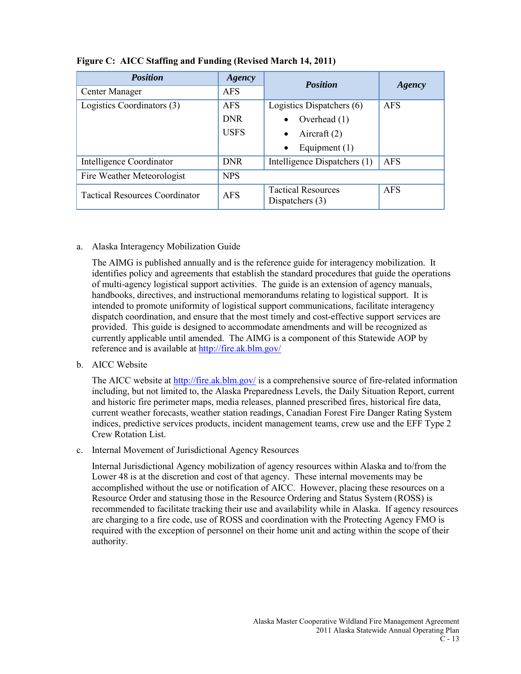| <b>Position</b>                       | Agency      | <b>Position</b>                                | Agency     |  |
|---------------------------------------|-------------|------------------------------------------------|------------|--|
| Center Manager                        | <b>AFS</b>  |                                                |            |  |
| Logistics Coordinators (3)            | <b>AFS</b>  | Logistics Dispatchers (6)                      | <b>AFS</b> |  |
|                                       | <b>DNR</b>  | Overhead (1)<br>$\bullet$                      |            |  |
|                                       | <b>USFS</b> | Aircraft $(2)$<br>$\bullet$                    |            |  |
|                                       |             | Equipment $(1)$<br>$\bullet$                   |            |  |
| Intelligence Coordinator              | <b>DNR</b>  | Intelligence Dispatchers (1)                   | <b>AFS</b> |  |
| Fire Weather Meteorologist            | <b>NPS</b>  |                                                |            |  |
| <b>Tactical Resources Coordinator</b> | <b>AFS</b>  | <b>Tactical Resources</b><br>Dispatchers $(3)$ | <b>AFS</b> |  |

## **Figure C: AICC Staffing and Funding (Revised March 14, 2011)**

### a. Alaska Interagency Mobilization Guide

The AIMG is published annually and is the reference guide for interagency mobilization. It identifies policy and agreements that establish the standard procedures that guide the operations of multi-agency logistical support activities. The guide is an extension of agency manuals, handbooks, directives, and instructional memorandums relating to logistical support. It is intended to promote uniformity of logistical support communications, facilitate interagency dispatch coordination, and ensure that the most timely and cost-effective support services are provided. This guide is designed to accommodate amendments and will be recognized as currently applicable until amended. The AIMG is a component of this Statewide AOP by reference and is available at<http://fire.ak.blm.gov/>

#### b. AICC Website

The AICC website at<http://fire.ak.blm.gov/> is a comprehensive source of fire-related information including, but not limited to, the Alaska Preparedness Levels, the Daily Situation Report, current and historic fire perimeter maps, media releases, planned prescribed fires, historical fire data, current weather forecasts, weather station readings, Canadian Forest Fire Danger Rating System indices, predictive services products, incident management teams, crew use and the EFF Type 2 Crew Rotation List.

c. Internal Movement of Jurisdictional Agency Resources

Internal Jurisdictional Agency mobilization of agency resources within Alaska and to/from the Lower 48 is at the discretion and cost of that agency. These internal movements may be accomplished without the use or notification of AICC. However, placing these resources on a Resource Order and statusing those in the Resource Ordering and Status System (ROSS) is recommended to facilitate tracking their use and availability while in Alaska. If agency resources are charging to a fire code, use of ROSS and coordination with the Protecting Agency FMO is required with the exception of personnel on their home unit and acting within the scope of their authority.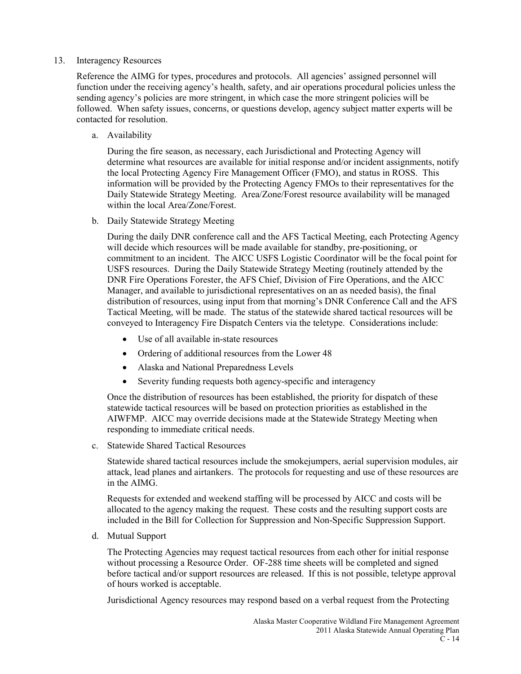#### 13. Interagency Resources

Reference the AIMG for types, procedures and protocols. All agencies' assigned personnel will function under the receiving agency's health, safety, and air operations procedural policies unless the sending agency's policies are more stringent, in which case the more stringent policies will be followed. When safety issues, concerns, or questions develop, agency subject matter experts will be contacted for resolution.

a. Availability

During the fire season, as necessary, each Jurisdictional and Protecting Agency will determine what resources are available for initial response and/or incident assignments, notify the local Protecting Agency Fire Management Officer (FMO), and status in ROSS. This information will be provided by the Protecting Agency FMOs to their representatives for the Daily Statewide Strategy Meeting. Area/Zone/Forest resource availability will be managed within the local Area/Zone/Forest.

b. Daily Statewide Strategy Meeting

During the daily DNR conference call and the AFS Tactical Meeting, each Protecting Agency will decide which resources will be made available for standby, pre-positioning, or commitment to an incident. The AICC USFS Logistic Coordinator will be the focal point for USFS resources. During the Daily Statewide Strategy Meeting (routinely attended by the DNR Fire Operations Forester, the AFS Chief, Division of Fire Operations, and the AICC Manager, and available to jurisdictional representatives on an as needed basis), the final distribution of resources, using input from that morning's DNR Conference Call and the AFS Tactical Meeting, will be made. The status of the statewide shared tactical resources will be conveyed to Interagency Fire Dispatch Centers via the teletype. Considerations include:

- Use of all available in-state resources
- Ordering of additional resources from the Lower 48
- Alaska and National Preparedness Levels
- Severity funding requests both agency-specific and interagency

Once the distribution of resources has been established, the priority for dispatch of these statewide tactical resources will be based on protection priorities as established in the AIWFMP. AICC may override decisions made at the Statewide Strategy Meeting when responding to immediate critical needs.

c. Statewide Shared Tactical Resources

Statewide shared tactical resources include the smokejumpers, aerial supervision modules, air attack, lead planes and airtankers. The protocols for requesting and use of these resources are in the AIMG.

Requests for extended and weekend staffing will be processed by AICC and costs will be allocated to the agency making the request. These costs and the resulting support costs are included in the Bill for Collection for Suppression and Non-Specific Suppression Support.

d. Mutual Support

The Protecting Agencies may request tactical resources from each other for initial response without processing a Resource Order. OF-288 time sheets will be completed and signed before tactical and/or support resources are released. If this is not possible, teletype approval of hours worked is acceptable.

Jurisdictional Agency resources may respond based on a verbal request from the Protecting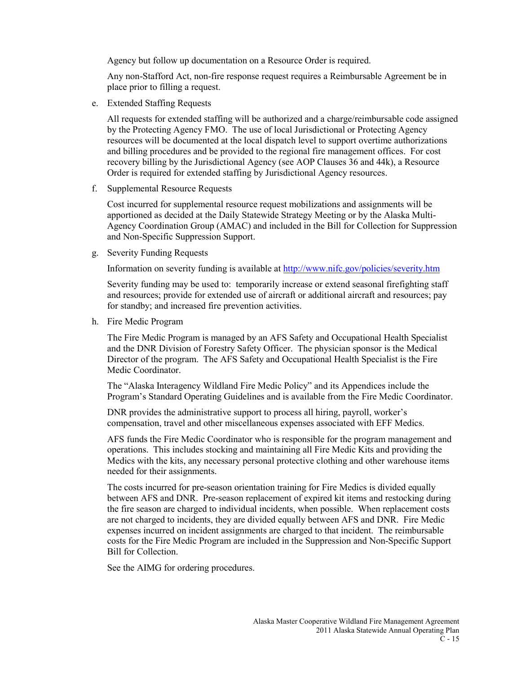Agency but follow up documentation on a Resource Order is required.

Any non-Stafford Act, non-fire response request requires a Reimbursable Agreement be in place prior to filling a request.

e. Extended Staffing Requests

All requests for extended staffing will be authorized and a charge/reimbursable code assigned by the Protecting Agency FMO. The use of local Jurisdictional or Protecting Agency resources will be documented at the local dispatch level to support overtime authorizations and billing procedures and be provided to the regional fire management offices. For cost recovery billing by the Jurisdictional Agency (see AOP Clauses 36 and 44k), a Resource Order is required for extended staffing by Jurisdictional Agency resources.

f. Supplemental Resource Requests

Cost incurred for supplemental resource request mobilizations and assignments will be apportioned as decided at the Daily Statewide Strategy Meeting or by the Alaska Multi-Agency Coordination Group (AMAC) and included in the Bill for Collection for Suppression and Non-Specific Suppression Support.

g. Severity Funding Requests

Information on severity funding is available at<http://www.nifc.gov/policies/severity.htm>

Severity funding may be used to: temporarily increase or extend seasonal firefighting staff and resources; provide for extended use of aircraft or additional aircraft and resources; pay for standby; and increased fire prevention activities.

h. Fire Medic Program

The Fire Medic Program is managed by an AFS Safety and Occupational Health Specialist and the DNR Division of Forestry Safety Officer. The physician sponsor is the Medical Director of the program. The AFS Safety and Occupational Health Specialist is the Fire Medic Coordinator.

The "Alaska Interagency Wildland Fire Medic Policy" and its Appendices include the Program's Standard Operating Guidelines and is available from the Fire Medic Coordinator.

DNR provides the administrative support to process all hiring, payroll, worker's compensation, travel and other miscellaneous expenses associated with EFF Medics.

AFS funds the Fire Medic Coordinator who is responsible for the program management and operations. This includes stocking and maintaining all Fire Medic Kits and providing the Medics with the kits, any necessary personal protective clothing and other warehouse items needed for their assignments.

The costs incurred for pre-season orientation training for Fire Medics is divided equally between AFS and DNR. Pre-season replacement of expired kit items and restocking during the fire season are charged to individual incidents, when possible. When replacement costs are not charged to incidents, they are divided equally between AFS and DNR. Fire Medic expenses incurred on incident assignments are charged to that incident. The reimbursable costs for the Fire Medic Program are included in the Suppression and Non-Specific Support Bill for Collection.

See the AIMG for ordering procedures.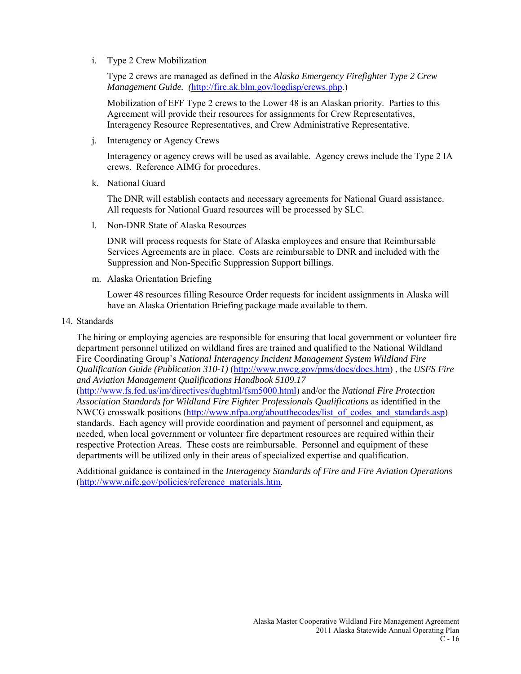i. Type 2 Crew Mobilization

Type 2 crews are managed as defined in the *Alaska Emergency Firefighter Type 2 Crew Management Guide. (*[http://fire.ak.blm.gov/logdisp/crews.php.](http://fire.ak.blm.gov/logdisp/crews.php))

Mobilization of EFF Type 2 crews to the Lower 48 is an Alaskan priority. Parties to this Agreement will provide their resources for assignments for Crew Representatives, Interagency Resource Representatives, and Crew Administrative Representative.

j. Interagency or Agency Crews

Interagency or agency crews will be used as available. Agency crews include the Type 2 IA crews. Reference AIMG for procedures.

k. National Guard

The DNR will establish contacts and necessary agreements for National Guard assistance. All requests for National Guard resources will be processed by SLC.

l. Non-DNR State of Alaska Resources

DNR will process requests for State of Alaska employees and ensure that Reimbursable Services Agreements are in place. Costs are reimbursable to DNR and included with the Suppression and Non-Specific Suppression Support billings.

m. Alaska Orientation Briefing

Lower 48 resources filling Resource Order requests for incident assignments in Alaska will have an Alaska Orientation Briefing package made available to them.

14. Standards

The hiring or employing agencies are responsible for ensuring that local government or volunteer fire department personnel utilized on wildland fires are trained and qualified to the National Wildland Fire Coordinating Group's *National Interagency Incident Management System Wildland Fire Qualification Guide (Publication 310-1)* [\(http://www.nwcg.gov/pms/docs/docs.htm\)](http://www.nwcg.gov/pms/docs/docs.htm) , the *USFS Fire and Aviation Management Qualifications Handbook 5109.17*

[\(http://www.fs.fed.us/im/directives/dughtml/fsm5000.html\)](http://www.fs.fed.us/im/directives/dughtml/fsm5000.html) and/or the *National Fire Protection Association Standards for Wildland Fire Fighter Professionals Qualifications* as identified in the NWCG crosswalk positions (http://www.nfpa.org/aboutthecodes/list of codes and standards.asp) standards. Each agency will provide coordination and payment of personnel and equipment, as needed, when local government or volunteer fire department resources are required within their respective Protection Areas. These costs are reimbursable. Personnel and equipment of these departments will be utilized only in their areas of specialized expertise and qualification.

Additional guidance is contained in the *Interagency Standards of Fire and Fire Aviation Operations* [\(http://www.nifc.gov/policies/reference\\_materials.htm.](http://www.nifc.gov/policies/reference_materials.htm)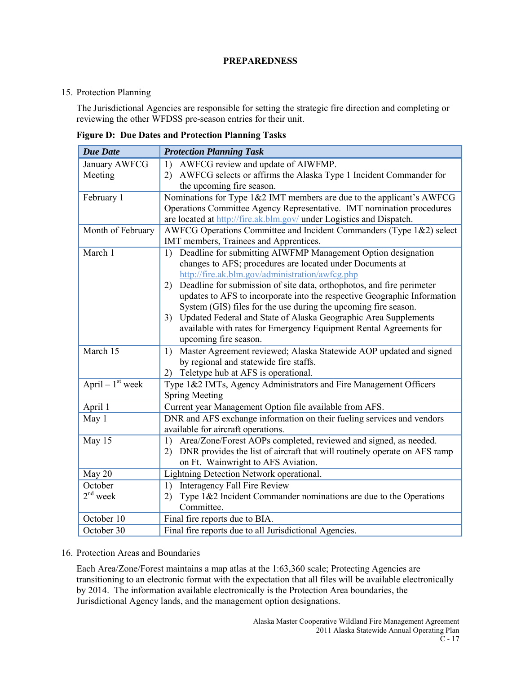### **PREPAREDNESS**

### 15. Protection Planning

The Jurisdictional Agencies are responsible for setting the strategic fire direction and completing or reviewing the other WFDSS pre-season entries for their unit.

|  | <b>Figure D: Due Dates and Protection Planning Tasks</b> |  |
|--|----------------------------------------------------------|--|
|  |                                                          |  |

| <b>Due Date</b>    | <b>Protection Planning Task</b>                                                 |  |
|--------------------|---------------------------------------------------------------------------------|--|
| January AWFCG      | AWFCG review and update of AIWFMP.<br>1)                                        |  |
| Meeting            | 2) AWFCG selects or affirms the Alaska Type 1 Incident Commander for            |  |
|                    | the upcoming fire season.                                                       |  |
| February 1         | Nominations for Type 1&2 IMT members are due to the applicant's AWFCG           |  |
|                    | Operations Committee Agency Representative. IMT nomination procedures           |  |
|                    | are located at http://fire.ak.blm.gov/ under Logistics and Dispatch.            |  |
| Month of February  | AWFCG Operations Committee and Incident Commanders (Type 1&2) select            |  |
|                    | IMT members, Trainees and Apprentices.                                          |  |
| March 1            | Deadline for submitting AIWFMP Management Option designation<br>1)              |  |
|                    | changes to AFS; procedures are located under Documents at                       |  |
|                    | http://fire.ak.blm.gov/administration/awfcg.php                                 |  |
|                    | Deadline for submission of site data, orthophotos, and fire perimeter<br>2)     |  |
|                    | updates to AFS to incorporate into the respective Geographic Information        |  |
|                    | System (GIS) files for the use during the upcoming fire season.                 |  |
|                    | Updated Federal and State of Alaska Geographic Area Supplements<br>3)           |  |
|                    | available with rates for Emergency Equipment Rental Agreements for              |  |
|                    | upcoming fire season.                                                           |  |
| March 15           | Master Agreement reviewed; Alaska Statewide AOP updated and signed<br>1)        |  |
|                    | by regional and statewide fire staffs.                                          |  |
|                    | Teletype hub at AFS is operational.<br>2)                                       |  |
| April – $1st$ week | Type 1&2 IMTs, Agency Administrators and Fire Management Officers               |  |
|                    | <b>Spring Meeting</b>                                                           |  |
| April 1            | Current year Management Option file available from AFS.                         |  |
| May 1              | DNR and AFS exchange information on their fueling services and vendors          |  |
|                    | available for aircraft operations.                                              |  |
| May $15$           | Area/Zone/Forest AOPs completed, reviewed and signed, as needed.<br>1)          |  |
|                    | DNR provides the list of aircraft that will routinely operate on AFS ramp<br>2) |  |
|                    | on Ft. Wainwright to AFS Aviation.                                              |  |
| May 20             | Lightning Detection Network operational.                                        |  |
| October            | <b>Interagency Fall Fire Review</b><br>1)                                       |  |
| $2nd$ week         | Type $1&2$ Incident Commander nominations are due to the Operations<br>2)       |  |
|                    | Committee.                                                                      |  |
| October 10         | Final fire reports due to BIA.                                                  |  |
| October 30         | Final fire reports due to all Jurisdictional Agencies.                          |  |

16. Protection Areas and Boundaries

Each Area/Zone/Forest maintains a map atlas at the 1:63,360 scale; Protecting Agencies are transitioning to an electronic format with the expectation that all files will be available electronically by 2014. The information available electronically is the Protection Area boundaries, the Jurisdictional Agency lands, and the management option designations.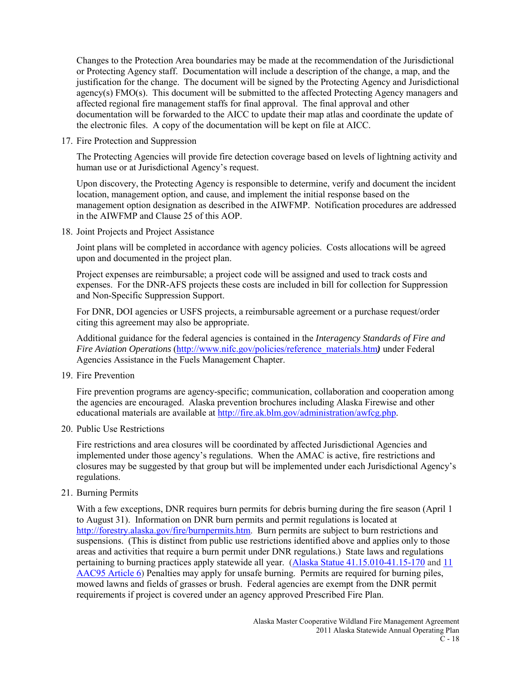Changes to the Protection Area boundaries may be made at the recommendation of the Jurisdictional or Protecting Agency staff. Documentation will include a description of the change, a map, and the justification for the change. The document will be signed by the Protecting Agency and Jurisdictional agency(s) FMO(s). This document will be submitted to the affected Protecting Agency managers and affected regional fire management staffs for final approval. The final approval and other documentation will be forwarded to the AICC to update their map atlas and coordinate the update of the electronic files. A copy of the documentation will be kept on file at AICC.

17. Fire Protection and Suppression

The Protecting Agencies will provide fire detection coverage based on levels of lightning activity and human use or at Jurisdictional Agency's request.

Upon discovery, the Protecting Agency is responsible to determine, verify and document the incident location, management option, and cause, and implement the initial response based on the management option designation as described in the AIWFMP. Notification procedures are addressed in the AIWFMP and Clause 25 of this AOP.

18. Joint Projects and Project Assistance

Joint plans will be completed in accordance with agency policies. Costs allocations will be agreed upon and documented in the project plan.

Project expenses are reimbursable; a project code will be assigned and used to track costs and expenses. For the DNR-AFS projects these costs are included in bill for collection for Suppression and Non-Specific Suppression Support.

For DNR, DOI agencies or USFS projects, a reimbursable agreement or a purchase request/order citing this agreement may also be appropriate.

Additional guidance for the federal agencies is contained in the *Interagency Standards of Fire and Fire Aviation Operations* [\(http://www.nifc.gov/policies/reference\\_materials.htm](http://www.nifc.gov/policies/reference_materials.htm)*)* under Federal Agencies Assistance in the Fuels Management Chapter.

19. Fire Prevention

Fire prevention programs are agency-specific; communication, collaboration and cooperation among the agencies are encouraged. Alaska prevention brochures including Alaska Firewise and other educational materials are available at [http://fire.ak.blm.gov/administration/awfcg.php.](http://fire.ak.blm.gov/administration/awfcg.php)

20. Public Use Restrictions

Fire restrictions and area closures will be coordinated by affected Jurisdictional Agencies and implemented under those agency's regulations. When the AMAC is active, fire restrictions and closures may be suggested by that group but will be implemented under each Jurisdictional Agency's regulations.

21. Burning Permits

With a few exceptions, DNR requires burn permits for debris burning during the fire season (April 1) to August 31). Information on DNR burn permits and permit regulations is located at [http://forestry.alaska.gov/fire/burnpermits.htm.](http://forestry.alaska.gov/fire/burnpermits.htm) Burn permits are subject to burn restrictions and suspensions. (This is distinct from public use restrictions identified above and applies only to those areas and activities that require a burn permit under DNR regulations.) State laws and regulations pertaining to burning practices apply statewide all year. [\(Alaska Statue 41.15.010-41.15-170](http://forestry.alaska.gov/pdfs/AS4115.pdf) and [11](http://forestry.alaska.gov/pdfs/11AAC95art6.pdf)  [AAC95 Article 6\)](http://forestry.alaska.gov/pdfs/11AAC95art6.pdf) Penalties may apply for unsafe burning. Permits are required for burning piles, mowed lawns and fields of grasses or brush. Federal agencies are exempt from the DNR permit requirements if project is covered under an agency approved Prescribed Fire Plan.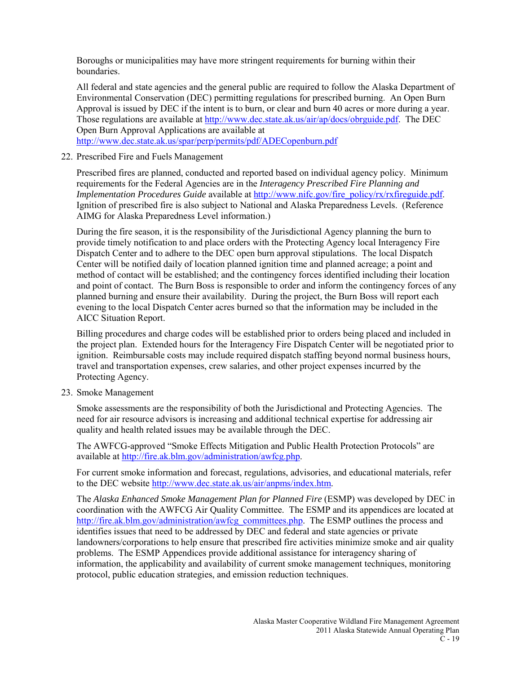Boroughs or municipalities may have more stringent requirements for burning within their boundaries.

All federal and state agencies and the general public are required to follow the Alaska Department of Environmental Conservation (DEC) permitting regulations for prescribed burning. An Open Burn Approval is issued by DEC if the intent is to burn, or clear and burn 40 acres or more during a year. Those regulations are available at [http://www.dec.state.ak.us/air/ap/docs/obrguide.pdf.](http://www.dec.state.ak.us/air/ap/docs/obrguide.pdf) The DEC Open Burn Approval Applications are available at <http://www.dec.state.ak.us/spar/perp/permits/pdf/ADECopenburn.pdf>

22. Prescribed Fire and Fuels Management

Prescribed fires are planned, conducted and reported based on individual agency policy. Minimum requirements for the Federal Agencies are in the *Interagency Prescribed Fire Planning and Implementation Procedures Guide* available at [http://www.nifc.gov/fire\\_policy/rx/rxfireguide.pdf.](http://www.nifc.gov/fire_policy/rx/rxfireguide.pdf) Ignition of prescribed fire is also subject to National and Alaska Preparedness Levels. (Reference AIMG for Alaska Preparedness Level information.)

During the fire season, it is the responsibility of the Jurisdictional Agency planning the burn to provide timely notification to and place orders with the Protecting Agency local Interagency Fire Dispatch Center and to adhere to the DEC open burn approval stipulations. The local Dispatch Center will be notified daily of location planned ignition time and planned acreage; a point and method of contact will be established; and the contingency forces identified including their location and point of contact. The Burn Boss is responsible to order and inform the contingency forces of any planned burning and ensure their availability. During the project, the Burn Boss will report each evening to the local Dispatch Center acres burned so that the information may be included in the AICC Situation Report.

Billing procedures and charge codes will be established prior to orders being placed and included in the project plan. Extended hours for the Interagency Fire Dispatch Center will be negotiated prior to ignition. Reimbursable costs may include required dispatch staffing beyond normal business hours, travel and transportation expenses, crew salaries, and other project expenses incurred by the Protecting Agency.

23. Smoke Management

Smoke assessments are the responsibility of both the Jurisdictional and Protecting Agencies. The need for air resource advisors is increasing and additional technical expertise for addressing air quality and health related issues may be available through the DEC.

The AWFCG-approved "Smoke Effects Mitigation and Public Health Protection Protocols" are available at [http://fire.ak.blm.gov/administration/awfcg.php.](http://fire.ak.blm.gov/administration/awfcg.php)

For current smoke information and forecast, regulations, advisories, and educational materials, refer to the DEC website [http://www.dec.state.ak.us/air/anpms/index.htm.](http://www.dec.state.ak.us/air/anpms/index.htm)

The *Alaska Enhanced Smoke Management Plan for Planned Fire* (ESMP) was developed by DEC in coordination with the AWFCG Air Quality Committee. The ESMP and its appendices are located at [http://fire.ak.blm.gov/administration/awfcg\\_committees.php.](http://fire.ak.blm.gov/administration/awfcg_committees.php) The ESMP outlines the process and identifies issues that need to be addressed by DEC and federal and state agencies or private landowners/corporations to help ensure that prescribed fire activities minimize smoke and air quality problems. The ESMP Appendices provide additional assistance for interagency sharing of information, the applicability and availability of current smoke management techniques, monitoring protocol, public education strategies, and emission reduction techniques.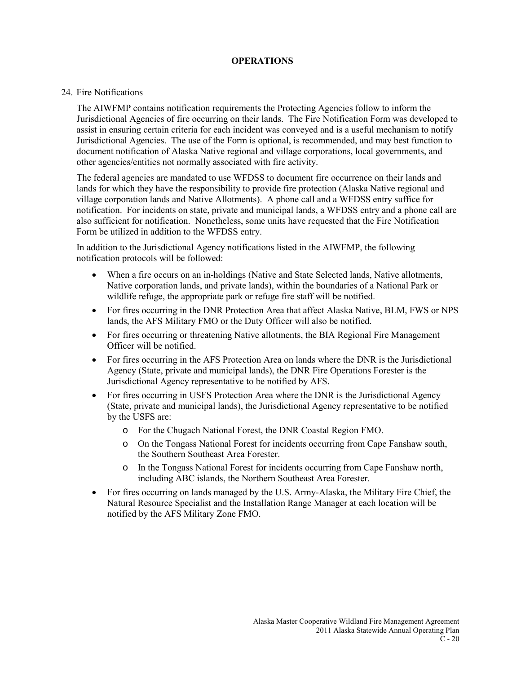### **OPERATIONS**

#### 24. Fire Notifications

The AIWFMP contains notification requirements the Protecting Agencies follow to inform the Jurisdictional Agencies of fire occurring on their lands. The Fire Notification Form was developed to assist in ensuring certain criteria for each incident was conveyed and is a useful mechanism to notify Jurisdictional Agencies. The use of the Form is optional, is recommended, and may best function to document notification of Alaska Native regional and village corporations, local governments, and other agencies/entities not normally associated with fire activity.

The federal agencies are mandated to use WFDSS to document fire occurrence on their lands and lands for which they have the responsibility to provide fire protection (Alaska Native regional and village corporation lands and Native Allotments). A phone call and a WFDSS entry suffice for notification. For incidents on state, private and municipal lands, a WFDSS entry and a phone call are also sufficient for notification. Nonetheless, some units have requested that the Fire Notification Form be utilized in addition to the WFDSS entry.

In addition to the Jurisdictional Agency notifications listed in the AIWFMP, the following notification protocols will be followed:

- When a fire occurs on an in-holdings (Native and State Selected lands, Native allotments, Native corporation lands, and private lands), within the boundaries of a National Park or wildlife refuge, the appropriate park or refuge fire staff will be notified.
- For fires occurring in the DNR Protection Area that affect Alaska Native, BLM, FWS or NPS lands, the AFS Military FMO or the Duty Officer will also be notified.
- For fires occurring or threatening Native allotments, the BIA Regional Fire Management Officer will be notified.
- For fires occurring in the AFS Protection Area on lands where the DNR is the Jurisdictional Agency (State, private and municipal lands), the DNR Fire Operations Forester is the Jurisdictional Agency representative to be notified by AFS.
- For fires occurring in USFS Protection Area where the DNR is the Jurisdictional Agency (State, private and municipal lands), the Jurisdictional Agency representative to be notified by the USFS are:
	- o For the Chugach National Forest, the DNR Coastal Region FMO.
	- o On the Tongass National Forest for incidents occurring from Cape Fanshaw south, the Southern Southeast Area Forester.
	- o In the Tongass National Forest for incidents occurring from Cape Fanshaw north, including ABC islands, the Northern Southeast Area Forester.
- For fires occurring on lands managed by the U.S. Army-Alaska, the Military Fire Chief, the Natural Resource Specialist and the Installation Range Manager at each location will be notified by the AFS Military Zone FMO.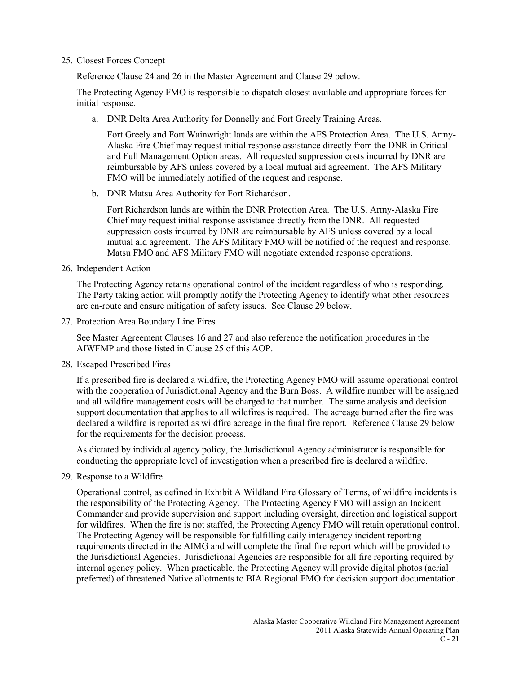#### 25. Closest Forces Concept

Reference Clause 24 and 26 in the Master Agreement and Clause 29 below.

The Protecting Agency FMO is responsible to dispatch closest available and appropriate forces for initial response.

a. DNR Delta Area Authority for Donnelly and Fort Greely Training Areas.

Fort Greely and Fort Wainwright lands are within the AFS Protection Area. The U.S. Army-Alaska Fire Chief may request initial response assistance directly from the DNR in Critical and Full Management Option areas. All requested suppression costs incurred by DNR are reimbursable by AFS unless covered by a local mutual aid agreement. The AFS Military FMO will be immediately notified of the request and response.

b. DNR Matsu Area Authority for Fort Richardson.

Fort Richardson lands are within the DNR Protection Area. The U.S. Army-Alaska Fire Chief may request initial response assistance directly from the DNR. All requested suppression costs incurred by DNR are reimbursable by AFS unless covered by a local mutual aid agreement. The AFS Military FMO will be notified of the request and response. Matsu FMO and AFS Military FMO will negotiate extended response operations.

26. Independent Action

The Protecting Agency retains operational control of the incident regardless of who is responding. The Party taking action will promptly notify the Protecting Agency to identify what other resources are en-route and ensure mitigation of safety issues. See Clause 29 below.

27. Protection Area Boundary Line Fires

See Master Agreement Clauses 16 and 27 and also reference the notification procedures in the AIWFMP and those listed in Clause 25 of this AOP.

28. Escaped Prescribed Fires

If a prescribed fire is declared a wildfire, the Protecting Agency FMO will assume operational control with the cooperation of Jurisdictional Agency and the Burn Boss. A wildfire number will be assigned and all wildfire management costs will be charged to that number. The same analysis and decision support documentation that applies to all wildfires is required. The acreage burned after the fire was declared a wildfire is reported as wildfire acreage in the final fire report. Reference Clause 29 below for the requirements for the decision process.

As dictated by individual agency policy, the Jurisdictional Agency administrator is responsible for conducting the appropriate level of investigation when a prescribed fire is declared a wildfire.

29. Response to a Wildfire

Operational control, as defined in Exhibit A Wildland Fire Glossary of Terms, of wildfire incidents is the responsibility of the Protecting Agency. The Protecting Agency FMO will assign an Incident Commander and provide supervision and support including oversight, direction and logistical support for wildfires. When the fire is not staffed, the Protecting Agency FMO will retain operational control. The Protecting Agency will be responsible for fulfilling daily interagency incident reporting requirements directed in the AIMG and will complete the final fire report which will be provided to the Jurisdictional Agencies. Jurisdictional Agencies are responsible for all fire reporting required by internal agency policy. When practicable, the Protecting Agency will provide digital photos (aerial preferred) of threatened Native allotments to BIA Regional FMO for decision support documentation.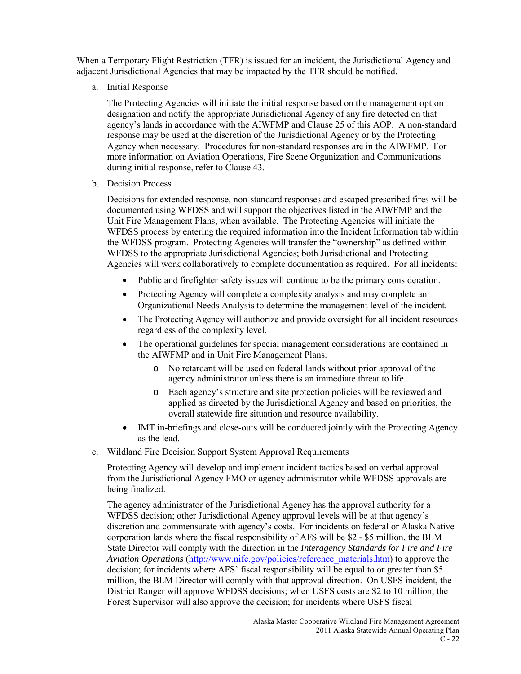When a Temporary Flight Restriction (TFR) is issued for an incident, the Jurisdictional Agency and adjacent Jurisdictional Agencies that may be impacted by the TFR should be notified.

a. Initial Response

The Protecting Agencies will initiate the initial response based on the management option designation and notify the appropriate Jurisdictional Agency of any fire detected on that agency's lands in accordance with the AIWFMP and Clause 25 of this AOP. A non-standard response may be used at the discretion of the Jurisdictional Agency or by the Protecting Agency when necessary. Procedures for non-standard responses are in the AIWFMP. For more information on Aviation Operations, Fire Scene Organization and Communications during initial response, refer to Clause 43.

b. Decision Process

Decisions for extended response, non-standard responses and escaped prescribed fires will be documented using WFDSS and will support the objectives listed in the AIWFMP and the Unit Fire Management Plans, when available. The Protecting Agencies will initiate the WFDSS process by entering the required information into the Incident Information tab within the WFDSS program. Protecting Agencies will transfer the "ownership" as defined within WFDSS to the appropriate Jurisdictional Agencies; both Jurisdictional and Protecting Agencies will work collaboratively to complete documentation as required. For all incidents:

- Public and firefighter safety issues will continue to be the primary consideration.
- Protecting Agency will complete a complexity analysis and may complete an Organizational Needs Analysis to determine the management level of the incident.
- The Protecting Agency will authorize and provide oversight for all incident resources regardless of the complexity level.
- The operational guidelines for special management considerations are contained in the AIWFMP and in Unit Fire Management Plans.
	- o No retardant will be used on federal lands without prior approval of the agency administrator unless there is an immediate threat to life.
	- o Each agency's structure and site protection policies will be reviewed and applied as directed by the Jurisdictional Agency and based on priorities, the overall statewide fire situation and resource availability.
- IMT in-briefings and close-outs will be conducted jointly with the Protecting Agency as the lead.
- c. Wildland Fire Decision Support System Approval Requirements

Protecting Agency will develop and implement incident tactics based on verbal approval from the Jurisdictional Agency FMO or agency administrator while WFDSS approvals are being finalized.

The agency administrator of the Jurisdictional Agency has the approval authority for a WFDSS decision; other Jurisdictional Agency approval levels will be at that agency's discretion and commensurate with agency's costs. For incidents on federal or Alaska Native corporation lands where the fiscal responsibility of AFS will be \$2 - \$5 million, the BLM State Director will comply with the direction in the *Interagency Standards for Fire and Fire Aviation Operations* [\(http://www.nifc.gov/policies/reference\\_materials.htm\)](http://www.nifc.gov/policies/reference_materials.htm) to approve the decision; for incidents where AFS' fiscal responsibility will be equal to or greater than \$5 million, the BLM Director will comply with that approval direction. On USFS incident, the District Ranger will approve WFDSS decisions; when USFS costs are \$2 to 10 million, the Forest Supervisor will also approve the decision; for incidents where USFS fiscal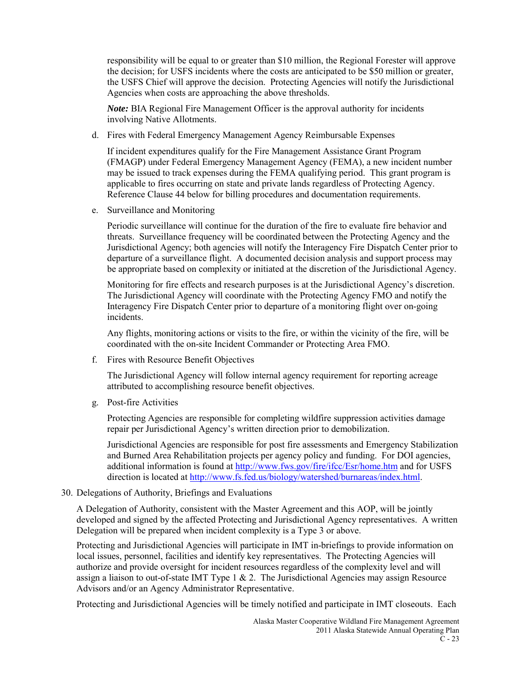responsibility will be equal to or greater than \$10 million, the Regional Forester will approve the decision; for USFS incidents where the costs are anticipated to be \$50 million or greater, the USFS Chief will approve the decision. Protecting Agencies will notify the Jurisdictional Agencies when costs are approaching the above thresholds.

*Note:* BIA Regional Fire Management Officer is the approval authority for incidents involving Native Allotments.

d. Fires with Federal Emergency Management Agency Reimbursable Expenses

If incident expenditures qualify for the Fire Management Assistance Grant Program (FMAGP) under Federal Emergency Management Agency (FEMA), a new incident number may be issued to track expenses during the FEMA qualifying period. This grant program is applicable to fires occurring on state and private lands regardless of Protecting Agency. Reference Clause 44 below for billing procedures and documentation requirements.

e. Surveillance and Monitoring

Periodic surveillance will continue for the duration of the fire to evaluate fire behavior and threats. Surveillance frequency will be coordinated between the Protecting Agency and the Jurisdictional Agency; both agencies will notify the Interagency Fire Dispatch Center prior to departure of a surveillance flight. A documented decision analysis and support process may be appropriate based on complexity or initiated at the discretion of the Jurisdictional Agency.

Monitoring for fire effects and research purposes is at the Jurisdictional Agency's discretion. The Jurisdictional Agency will coordinate with the Protecting Agency FMO and notify the Interagency Fire Dispatch Center prior to departure of a monitoring flight over on-going incidents.

Any flights, monitoring actions or visits to the fire, or within the vicinity of the fire, will be coordinated with the on-site Incident Commander or Protecting Area FMO.

f. Fires with Resource Benefit Objectives

The Jurisdictional Agency will follow internal agency requirement for reporting acreage attributed to accomplishing resource benefit objectives.

g. Post-fire Activities

Protecting Agencies are responsible for completing wildfire suppression activities damage repair per Jurisdictional Agency's written direction prior to demobilization.

Jurisdictional Agencies are responsible for post fire assessments and Emergency Stabilization and Burned Area Rehabilitation projects per agency policy and funding. For DOI agencies, additional information is found a[t http://www.fws.gov/fire/ifcc/Esr/home.htm](http://www.fws.gov/fire/ifcc/Esr/home.htm) and for USFS direction is located at [http://www.fs.fed.us/biology/watershed/burnareas/index.html.](http://www.fs.fed.us/biology/watershed/burnareas/index.html)

30. Delegations of Authority, Briefings and Evaluations

A Delegation of Authority, consistent with the Master Agreement and this AOP, will be jointly developed and signed by the affected Protecting and Jurisdictional Agency representatives. A written Delegation will be prepared when incident complexity is a Type 3 or above.

Protecting and Jurisdictional Agencies will participate in IMT in-briefings to provide information on local issues, personnel, facilities and identify key representatives. The Protecting Agencies will authorize and provide oversight for incident resources regardless of the complexity level and will assign a liaison to out-of-state IMT Type  $1 \& 2$ . The Jurisdictional Agencies may assign Resource Advisors and/or an Agency Administrator Representative.

Protecting and Jurisdictional Agencies will be timely notified and participate in IMT closeouts. Each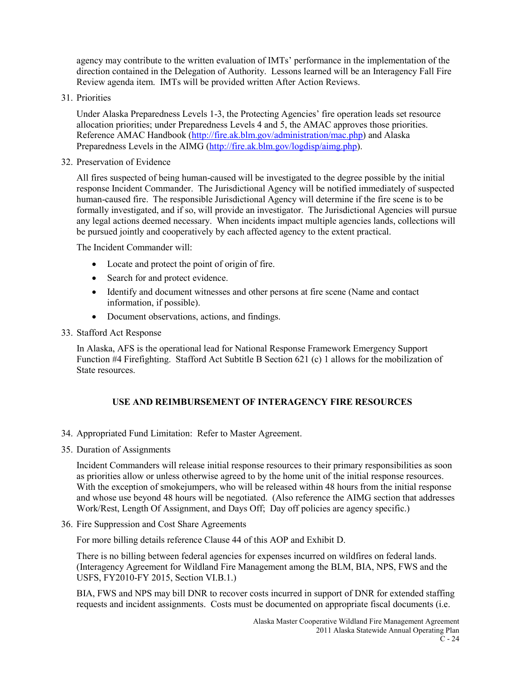agency may contribute to the written evaluation of IMTs' performance in the implementation of the direction contained in the Delegation of Authority. Lessons learned will be an Interagency Fall Fire Review agenda item. IMTs will be provided written After Action Reviews.

31. Priorities

Under Alaska Preparedness Levels 1-3, the Protecting Agencies' fire operation leads set resource allocation priorities; under Preparedness Levels 4 and 5, the AMAC approves those priorities. Reference AMAC Handbook [\(http://fire.ak.blm.gov/administration/mac.php\)](http://fire.ak.blm.gov/administration/mac.php) and Alaska Preparedness Levels in the AIMG [\(http://fire.ak.blm.gov/logdisp/aimg.php\)](http://fire.ak.blm.gov/logdisp/aimg.php).

32. Preservation of Evidence

All fires suspected of being human-caused will be investigated to the degree possible by the initial response Incident Commander. The Jurisdictional Agency will be notified immediately of suspected human-caused fire. The responsible Jurisdictional Agency will determine if the fire scene is to be formally investigated, and if so, will provide an investigator. The Jurisdictional Agencies will pursue any legal actions deemed necessary. When incidents impact multiple agencies lands, collections will be pursued jointly and cooperatively by each affected agency to the extent practical.

The Incident Commander will:

- Locate and protect the point of origin of fire.
- Search for and protect evidence.
- Identify and document witnesses and other persons at fire scene (Name and contact information, if possible).
- Document observations, actions, and findings.
- 33. Stafford Act Response

In Alaska, AFS is the operational lead for National Response Framework Emergency Support Function #4 Firefighting. Stafford Act Subtitle B Section 621 (c) 1 allows for the mobilization of State resources.

### **USE AND REIMBURSEMENT OF INTERAGENCY FIRE RESOURCES**

- 34. Appropriated Fund Limitation: Refer to Master Agreement.
- 35. Duration of Assignments

Incident Commanders will release initial response resources to their primary responsibilities as soon as priorities allow or unless otherwise agreed to by the home unit of the initial response resources. With the exception of smokejumpers, who will be released within 48 hours from the initial response and whose use beyond 48 hours will be negotiated. (Also reference the AIMG section that addresses Work/Rest, Length Of Assignment, and Days Off; Day off policies are agency specific.)

36. Fire Suppression and Cost Share Agreements

For more billing details reference Clause 44 of this AOP and Exhibit D.

There is no billing between federal agencies for expenses incurred on wildfires on federal lands. (Interagency Agreement for Wildland Fire Management among the BLM, BIA, NPS, FWS and the USFS, FY2010-FY 2015, Section VI.B.1.)

BIA, FWS and NPS may bill DNR to recover costs incurred in support of DNR for extended staffing requests and incident assignments. Costs must be documented on appropriate fiscal documents (i.e.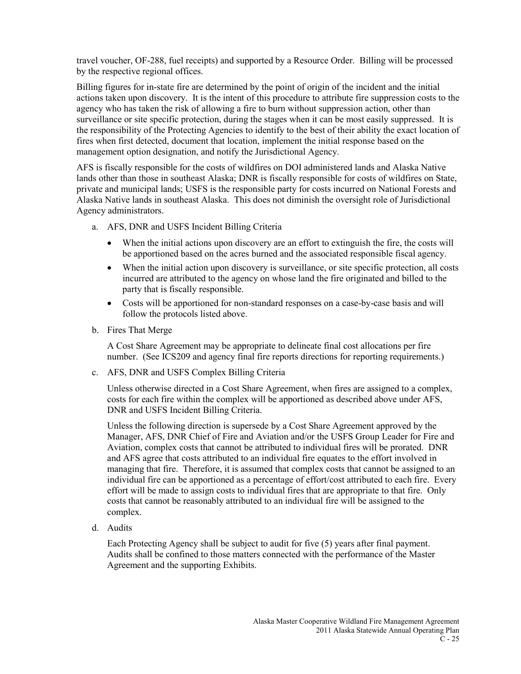travel voucher, OF-288, fuel receipts) and supported by a Resource Order. Billing will be processed by the respective regional offices.

Billing figures for in-state fire are determined by the point of origin of the incident and the initial actions taken upon discovery. It is the intent of this procedure to attribute fire suppression costs to the agency who has taken the risk of allowing a fire to burn without suppression action, other than surveillance or site specific protection, during the stages when it can be most easily suppressed. It is the responsibility of the Protecting Agencies to identify to the best of their ability the exact location of fires when first detected, document that location, implement the initial response based on the management option designation, and notify the Jurisdictional Agency.

AFS is fiscally responsible for the costs of wildfires on DOI administered lands and Alaska Native lands other than those in southeast Alaska; DNR is fiscally responsible for costs of wildfires on State, private and municipal lands; USFS is the responsible party for costs incurred on National Forests and Alaska Native lands in southeast Alaska. This does not diminish the oversight role of Jurisdictional Agency administrators.

- a. AFS, DNR and USFS Incident Billing Criteria
	- When the initial actions upon discovery are an effort to extinguish the fire, the costs will be apportioned based on the acres burned and the associated responsible fiscal agency.
	- When the initial action upon discovery is surveillance, or site specific protection, all costs incurred are attributed to the agency on whose land the fire originated and billed to the party that is fiscally responsible.
	- Costs will be apportioned for non-standard responses on a case-by-case basis and will follow the protocols listed above.
- b. Fires That Merge

A Cost Share Agreement may be appropriate to delineate final cost allocations per fire number. (See ICS209 and agency final fire reports directions for reporting requirements.)

c. AFS, DNR and USFS Complex Billing Criteria

Unless otherwise directed in a Cost Share Agreement, when fires are assigned to a complex, costs for each fire within the complex will be apportioned as described above under AFS, DNR and USFS Incident Billing Criteria.

Unless the following direction is supersede by a Cost Share Agreement approved by the Manager, AFS, DNR Chief of Fire and Aviation and/or the USFS Group Leader for Fire and Aviation, complex costs that cannot be attributed to individual fires will be prorated. DNR and AFS agree that costs attributed to an individual fire equates to the effort involved in managing that fire. Therefore, it is assumed that complex costs that cannot be assigned to an individual fire can be apportioned as a percentage of effort/cost attributed to each fire. Every effort will be made to assign costs to individual fires that are appropriate to that fire. Only costs that cannot be reasonably attributed to an individual fire will be assigned to the complex.

d. Audits

Each Protecting Agency shall be subject to audit for five (5) years after final payment. Audits shall be confined to those matters connected with the performance of the Master Agreement and the supporting Exhibits.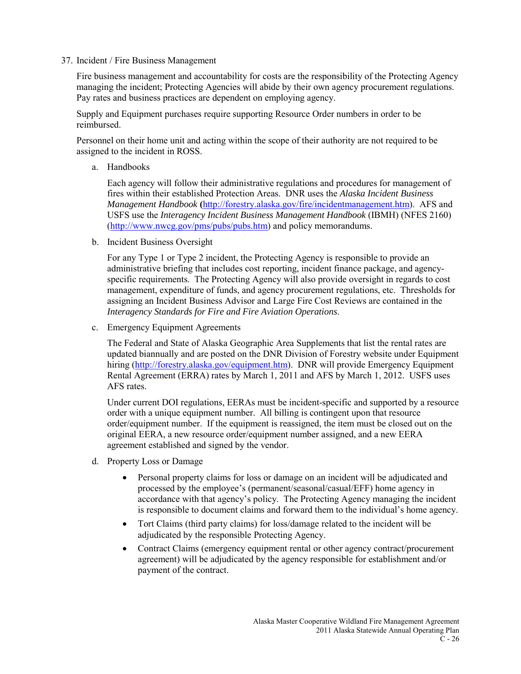37. Incident / Fire Business Management

Fire business management and accountability for costs are the responsibility of the Protecting Agency managing the incident; Protecting Agencies will abide by their own agency procurement regulations. Pay rates and business practices are dependent on employing agency.

Supply and Equipment purchases require supporting Resource Order numbers in order to be reimbursed.

Personnel on their home unit and acting within the scope of their authority are not required to be assigned to the incident in ROSS.

a. Handbooks

Each agency will follow their administrative regulations and procedures for management of fires within their established Protection Areas. DNR uses the *Alaska Incident Business Management Handbook* **(**[http://forestry.alaska.gov/fire/incidentmanagement.htm\)](http://forestry.alaska.gov/fire/incidentmanagement.htm). AFS and USFS use the *Interagency Incident Business Management Handbook* (IBMH) (NFES 2160) [\(http://www.nwcg.gov/pms/pubs/pubs.htm\)](http://www.nwcg.gov/pms/pubs/pubs.htm) and policy memorandums.

b. Incident Business Oversight

For any Type 1 or Type 2 incident, the Protecting Agency is responsible to provide an administrative briefing that includes cost reporting, incident finance package, and agencyspecific requirements. The Protecting Agency will also provide oversight in regards to cost management, expenditure of funds, and agency procurement regulations, etc. Thresholds for assigning an Incident Business Advisor and Large Fire Cost Reviews are contained in the *Interagency Standards for Fire and Fire Aviation Operations*.

c. Emergency Equipment Agreements

The Federal and State of Alaska Geographic Area Supplements that list the rental rates are updated biannually and are posted on the DNR Division of Forestry website under Equipment hiring [\(http://forestry.alaska.gov/equipment.htm\)](http://forestry.alaska.gov/equipment.htm). DNR will provide Emergency Equipment Rental Agreement (ERRA) rates by March 1, 2011 and AFS by March 1, 2012. USFS uses AFS rates.

Under current DOI regulations, EERAs must be incident-specific and supported by a resource order with a unique equipment number. All billing is contingent upon that resource order/equipment number. If the equipment is reassigned, the item must be closed out on the original EERA, a new resource order/equipment number assigned, and a new EERA agreement established and signed by the vendor.

- d. Property Loss or Damage
	- Personal property claims for loss or damage on an incident will be adjudicated and processed by the employee's (permanent/seasonal/casual/EFF) home agency in accordance with that agency's policy. The Protecting Agency managing the incident is responsible to document claims and forward them to the individual's home agency.
	- Tort Claims (third party claims) for loss/damage related to the incident will be adjudicated by the responsible Protecting Agency.
	- Contract Claims (emergency equipment rental or other agency contract/procurement agreement) will be adjudicated by the agency responsible for establishment and/or payment of the contract.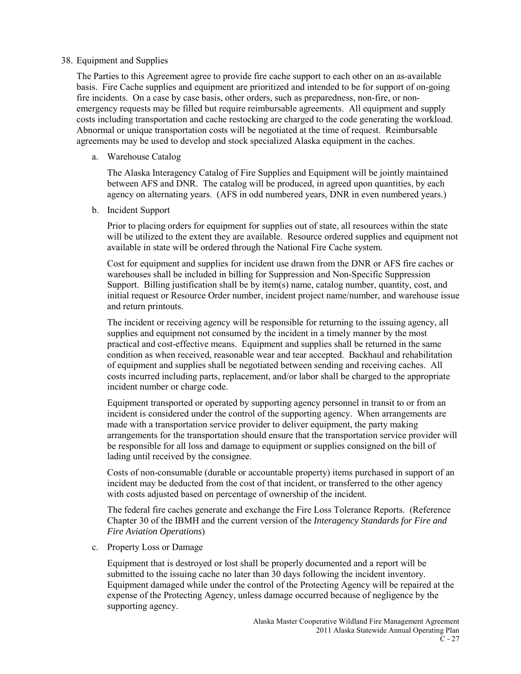#### 38. Equipment and Supplies

The Parties to this Agreement agree to provide fire cache support to each other on an as-available basis. Fire Cache supplies and equipment are prioritized and intended to be for support of on-going fire incidents. On a case by case basis, other orders, such as preparedness, non-fire, or nonemergency requests may be filled but require reimbursable agreements. All equipment and supply costs including transportation and cache restocking are charged to the code generating the workload. Abnormal or unique transportation costs will be negotiated at the time of request. Reimbursable agreements may be used to develop and stock specialized Alaska equipment in the caches.

a. Warehouse Catalog

The Alaska Interagency Catalog of Fire Supplies and Equipment will be jointly maintained between AFS and DNR. The catalog will be produced, in agreed upon quantities, by each agency on alternating years. (AFS in odd numbered years, DNR in even numbered years.)

b. Incident Support

Prior to placing orders for equipment for supplies out of state, all resources within the state will be utilized to the extent they are available. Resource ordered supplies and equipment not available in state will be ordered through the National Fire Cache system.

Cost for equipment and supplies for incident use drawn from the DNR or AFS fire caches or warehouses shall be included in billing for Suppression and Non-Specific Suppression Support. Billing justification shall be by item(s) name, catalog number, quantity, cost, and initial request or Resource Order number, incident project name/number, and warehouse issue and return printouts.

The incident or receiving agency will be responsible for returning to the issuing agency, all supplies and equipment not consumed by the incident in a timely manner by the most practical and cost-effective means. Equipment and supplies shall be returned in the same condition as when received, reasonable wear and tear accepted. Backhaul and rehabilitation of equipment and supplies shall be negotiated between sending and receiving caches. All costs incurred including parts, replacement, and/or labor shall be charged to the appropriate incident number or charge code.

Equipment transported or operated by supporting agency personnel in transit to or from an incident is considered under the control of the supporting agency. When arrangements are made with a transportation service provider to deliver equipment, the party making arrangements for the transportation should ensure that the transportation service provider will be responsible for all loss and damage to equipment or supplies consigned on the bill of lading until received by the consignee.

Costs of non-consumable (durable or accountable property) items purchased in support of an incident may be deducted from the cost of that incident, or transferred to the other agency with costs adjusted based on percentage of ownership of the incident.

The federal fire caches generate and exchange the Fire Loss Tolerance Reports. (Reference Chapter 30 of the IBMH and the current version of the *Interagency Standards for Fire and Fire Aviation Operations*)

c. Property Loss or Damage

Equipment that is destroyed or lost shall be properly documented and a report will be submitted to the issuing cache no later than 30 days following the incident inventory. Equipment damaged while under the control of the Protecting Agency will be repaired at the expense of the Protecting Agency, unless damage occurred because of negligence by the supporting agency.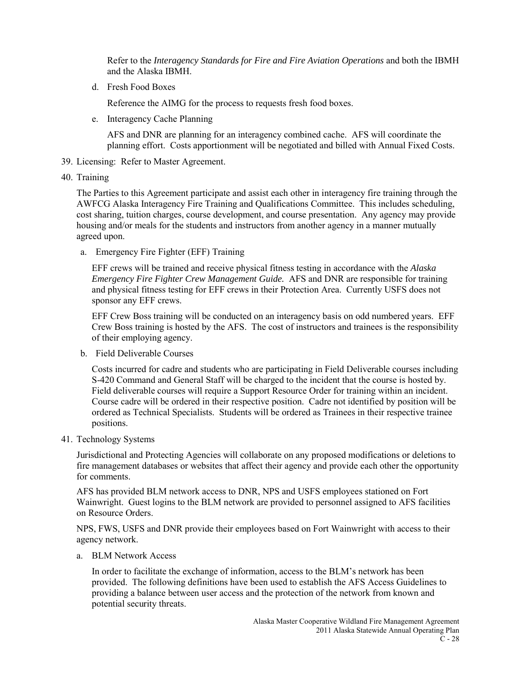Refer to the *Interagency Standards for Fire and Fire Aviation Operations* and both the IBMH and the Alaska IBMH.

d. Fresh Food Boxes

Reference the AIMG for the process to requests fresh food boxes.

e. Interagency Cache Planning

AFS and DNR are planning for an interagency combined cache. AFS will coordinate the planning effort. Costs apportionment will be negotiated and billed with Annual Fixed Costs.

- 39. Licensing: Refer to Master Agreement.
- 40. Training

The Parties to this Agreement participate and assist each other in interagency fire training through the AWFCG Alaska Interagency Fire Training and Qualifications Committee. This includes scheduling, cost sharing, tuition charges, course development, and course presentation. Any agency may provide housing and/or meals for the students and instructors from another agency in a manner mutually agreed upon.

a. Emergency Fire Fighter (EFF) Training

EFF crews will be trained and receive physical fitness testing in accordance with the *Alaska Emergency Fire Fighter Crew Management Guide.* AFS and DNR are responsible for training and physical fitness testing for EFF crews in their Protection Area. Currently USFS does not sponsor any EFF crews.

EFF Crew Boss training will be conducted on an interagency basis on odd numbered years. EFF Crew Boss training is hosted by the AFS. The cost of instructors and trainees is the responsibility of their employing agency.

b. Field Deliverable Courses

Costs incurred for cadre and students who are participating in Field Deliverable courses including S-420 Command and General Staff will be charged to the incident that the course is hosted by. Field deliverable courses will require a Support Resource Order for training within an incident. Course cadre will be ordered in their respective position. Cadre not identified by position will be ordered as Technical Specialists. Students will be ordered as Trainees in their respective trainee positions.

41. Technology Systems

Jurisdictional and Protecting Agencies will collaborate on any proposed modifications or deletions to fire management databases or websites that affect their agency and provide each other the opportunity for comments.

AFS has provided BLM network access to DNR, NPS and USFS employees stationed on Fort Wainwright. Guest logins to the BLM network are provided to personnel assigned to AFS facilities on Resource Orders.

NPS, FWS, USFS and DNR provide their employees based on Fort Wainwright with access to their agency network.

a. BLM Network Access

In order to facilitate the exchange of information, access to the BLM's network has been provided. The following definitions have been used to establish the AFS Access Guidelines to providing a balance between user access and the protection of the network from known and potential security threats.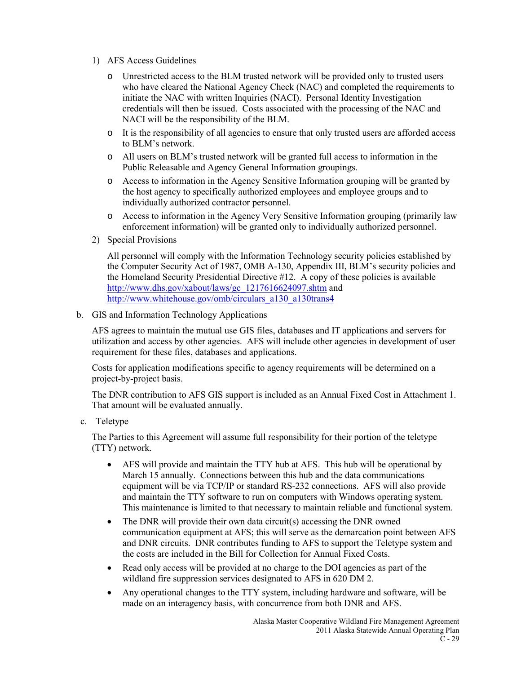- 1) AFS Access Guidelines
	- o Unrestricted access to the BLM trusted network will be provided only to trusted users who have cleared the National Agency Check (NAC) and completed the requirements to initiate the NAC with written Inquiries (NACI). Personal Identity Investigation credentials will then be issued. Costs associated with the processing of the NAC and NACI will be the responsibility of the BLM.
	- o It is the responsibility of all agencies to ensure that only trusted users are afforded access to BLM's network.
	- o All users on BLM's trusted network will be granted full access to information in the Public Releasable and Agency General Information groupings.
	- o Access to information in the Agency Sensitive Information grouping will be granted by the host agency to specifically authorized employees and employee groups and to individually authorized contractor personnel.
	- o Access to information in the Agency Very Sensitive Information grouping (primarily law enforcement information) will be granted only to individually authorized personnel.
- 2) Special Provisions

All personnel will comply with the Information Technology security policies established by the Computer Security Act of 1987, OMB A-130, Appendix III, BLM's security policies and the Homeland Security Presidential Directive #12. A copy of these policies is available [http://www.dhs.gov/xabout/laws/gc\\_1217616624097.shtm](http://www.dhs.gov/xabout/laws/gc_1217616624097.shtm) and [http://www.whitehouse.gov/omb/circulars\\_a130\\_a130trans4](http://www.whitehouse.gov/omb/circulars_a130_a130trans4)

b. GIS and Information Technology Applications

AFS agrees to maintain the mutual use GIS files, databases and IT applications and servers for utilization and access by other agencies. AFS will include other agencies in development of user requirement for these files, databases and applications.

Costs for application modifications specific to agency requirements will be determined on a project-by-project basis.

The DNR contribution to AFS GIS support is included as an Annual Fixed Cost in Attachment 1. That amount will be evaluated annually.

c. Teletype

The Parties to this Agreement will assume full responsibility for their portion of the teletype (TTY) network.

- AFS will provide and maintain the TTY hub at AFS. This hub will be operational by March 15 annually. Connections between this hub and the data communications equipment will be via TCP/IP or standard RS-232 connections. AFS will also provide and maintain the TTY software to run on computers with Windows operating system. This maintenance is limited to that necessary to maintain reliable and functional system.
- The DNR will provide their own data circuit(s) accessing the DNR owned communication equipment at AFS; this will serve as the demarcation point between AFS and DNR circuits. DNR contributes funding to AFS to support the Teletype system and the costs are included in the Bill for Collection for Annual Fixed Costs.
- Read only access will be provided at no charge to the DOI agencies as part of the wildland fire suppression services designated to AFS in 620 DM 2.
- Any operational changes to the TTY system, including hardware and software, will be made on an interagency basis, with concurrence from both DNR and AFS.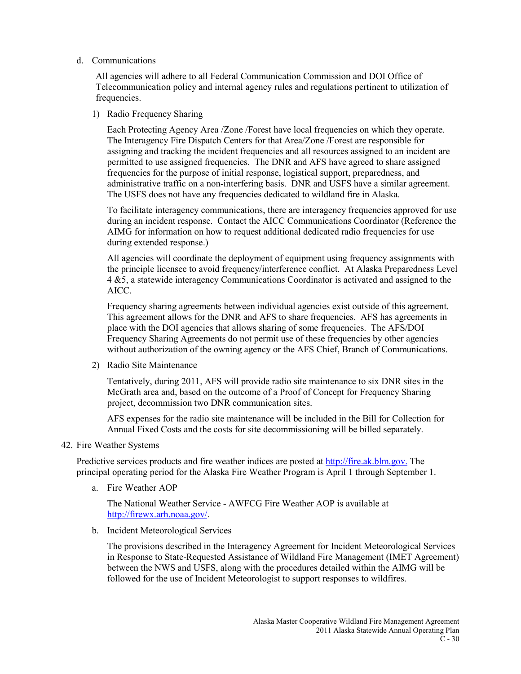#### d. Communications

All agencies will adhere to all Federal Communication Commission and DOI Office of Telecommunication policy and internal agency rules and regulations pertinent to utilization of frequencies.

1) Radio Frequency Sharing

Each Protecting Agency Area /Zone /Forest have local frequencies on which they operate. The Interagency Fire Dispatch Centers for that Area/Zone /Forest are responsible for assigning and tracking the incident frequencies and all resources assigned to an incident are permitted to use assigned frequencies. The DNR and AFS have agreed to share assigned frequencies for the purpose of initial response, logistical support, preparedness, and administrative traffic on a non-interfering basis. DNR and USFS have a similar agreement. The USFS does not have any frequencies dedicated to wildland fire in Alaska.

To facilitate interagency communications, there are interagency frequencies approved for use during an incident response. Contact the AICC Communications Coordinator (Reference the AIMG for information on how to request additional dedicated radio frequencies for use during extended response.)

All agencies will coordinate the deployment of equipment using frequency assignments with the principle licensee to avoid frequency/interference conflict. At Alaska Preparedness Level 4 &5, a statewide interagency Communications Coordinator is activated and assigned to the AICC.

Frequency sharing agreements between individual agencies exist outside of this agreement. This agreement allows for the DNR and AFS to share frequencies. AFS has agreements in place with the DOI agencies that allows sharing of some frequencies. The AFS/DOI Frequency Sharing Agreements do not permit use of these frequencies by other agencies without authorization of the owning agency or the AFS Chief, Branch of Communications.

2) Radio Site Maintenance

Tentatively, during 2011, AFS will provide radio site maintenance to six DNR sites in the McGrath area and, based on the outcome of a Proof of Concept for Frequency Sharing project, decommission two DNR communication sites.

AFS expenses for the radio site maintenance will be included in the Bill for Collection for Annual Fixed Costs and the costs for site decommissioning will be billed separately.

42. Fire Weather Systems

Predictive services products and fire weather indices are posted a[t http://fire.ak.blm.gov.](http://fire.ak.blm.gov/) The principal operating period for the Alaska Fire Weather Program is April 1 through September 1.

a. Fire Weather AOP

The National Weather Service - AWFCG Fire Weather AOP is available at [http://firewx.arh.noaa.gov/.](http://firewx.arh.noaa.gov/)

b. Incident Meteorological Services

The provisions described in the Interagency Agreement for Incident Meteorological Services in Response to State-Requested Assistance of Wildland Fire Management (IMET Agreement) between the NWS and USFS, along with the procedures detailed within the AIMG will be followed for the use of Incident Meteorologist to support responses to wildfires.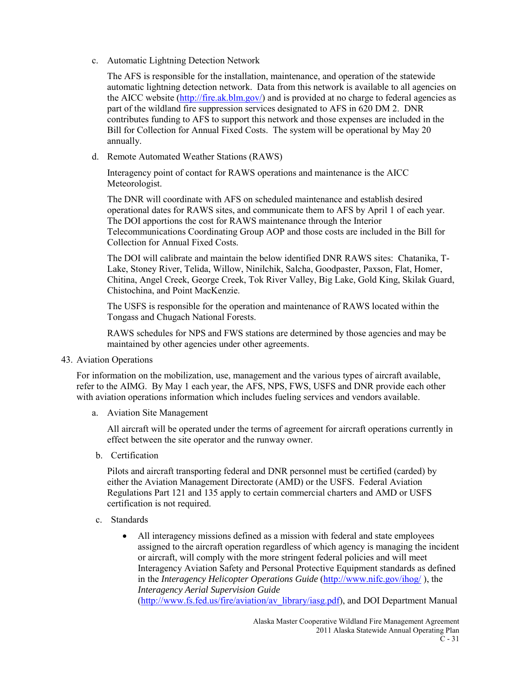c. Automatic Lightning Detection Network

The AFS is responsible for the installation, maintenance, and operation of the statewide automatic lightning detection network. Data from this network is available to all agencies on the AICC website [\(http://fire.ak.blm.gov/\)](http://fire.ak.blm.gov/) and is provided at no charge to federal agencies as part of the wildland fire suppression services designated to AFS in 620 DM 2. DNR contributes funding to AFS to support this network and those expenses are included in the Bill for Collection for Annual Fixed Costs. The system will be operational by May 20 annually.

d. Remote Automated Weather Stations (RAWS)

Interagency point of contact for RAWS operations and maintenance is the AICC Meteorologist.

The DNR will coordinate with AFS on scheduled maintenance and establish desired operational dates for RAWS sites, and communicate them to AFS by April 1 of each year. The DOI apportions the cost for RAWS maintenance through the Interior Telecommunications Coordinating Group AOP and those costs are included in the Bill for Collection for Annual Fixed Costs.

The DOI will calibrate and maintain the below identified DNR RAWS sites: Chatanika, T-Lake, Stoney River, Telida, Willow, Ninilchik, Salcha, Goodpaster, Paxson, Flat, Homer, Chitina, Angel Creek, George Creek, Tok River Valley, Big Lake, Gold King, Skilak Guard, Chistochina, and Point MacKenzie.

The USFS is responsible for the operation and maintenance of RAWS located within the Tongass and Chugach National Forests.

RAWS schedules for NPS and FWS stations are determined by those agencies and may be maintained by other agencies under other agreements.

43. Aviation Operations

For information on the mobilization, use, management and the various types of aircraft available, refer to the AIMG. By May 1 each year, the AFS, NPS, FWS, USFS and DNR provide each other with aviation operations information which includes fueling services and vendors available.

a. Aviation Site Management

All aircraft will be operated under the terms of agreement for aircraft operations currently in effect between the site operator and the runway owner.

b. Certification

Pilots and aircraft transporting federal and DNR personnel must be certified (carded) by either the Aviation Management Directorate (AMD) or the USFS. Federal Aviation Regulations Part 121 and 135 apply to certain commercial charters and AMD or USFS certification is not required.

- c. Standards
	- All interagency missions defined as a mission with federal and state employees assigned to the aircraft operation regardless of which agency is managing the incident or aircraft, will comply with the more stringent federal policies and will meet Interagency Aviation Safety and Personal Protective Equipment standards as defined in the *Interagency Helicopter Operations Guide* (http://www.nifc.gov/ihog/), the *Interagency Aerial Supervision Guide* [\(http://www.fs.fed.us/fire/aviation/av\\_library/iasg.pdf\)](http://www.fs.fed.us/fire/aviation/av_library/iasg.pdf), and DOI Department Manual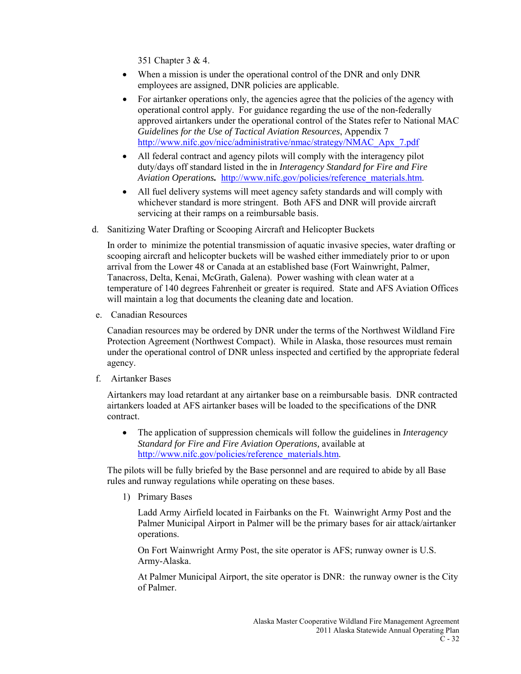351 Chapter 3 & 4.

- When a mission is under the operational control of the DNR and only DNR employees are assigned, DNR policies are applicable.
- For airtanker operations only, the agencies agree that the policies of the agency with operational control apply. For guidance regarding the use of the non-federally approved airtankers under the operational control of the States refer to National MAC *Guidelines for the Use of Tactical Aviation Resources*, Appendix 7 [http://www.nifc.gov/nicc/administrative/nmac/strategy/NMAC\\_Apx\\_7.pdf](http://www.nifc.gov/nicc/administrative/nmac/strategy/NMAC_Apx_7.pdf)
- All federal contract and agency pilots will comply with the interagency pilot duty/days off standard listed in the in *Interagency Standard for Fire and Fire Aviation Operations.* [http://www.nifc.gov/policies/reference\\_materials.htm.](http://www.nifc.gov/policies/reference_materials.htm)
- All fuel delivery systems will meet agency safety standards and will comply with whichever standard is more stringent. Both AFS and DNR will provide aircraft servicing at their ramps on a reimbursable basis.
- d. Sanitizing Water Drafting or Scooping Aircraft and Helicopter Buckets

In order to minimize the potential transmission of aquatic invasive species, water drafting or scooping aircraft and helicopter buckets will be washed either immediately prior to or upon arrival from the Lower 48 or Canada at an established base (Fort Wainwright, Palmer, Tanacross, Delta, Kenai, McGrath, Galena). Power washing with clean water at a temperature of 140 degrees Fahrenheit or greater is required. State and AFS Aviation Offices will maintain a log that documents the cleaning date and location.

e. Canadian Resources

Canadian resources may be ordered by DNR under the terms of the Northwest Wildland Fire Protection Agreement (Northwest Compact). While in Alaska, those resources must remain under the operational control of DNR unless inspected and certified by the appropriate federal agency.

f. Airtanker Bases

Airtankers may load retardant at any airtanker base on a reimbursable basis. DNR contracted airtankers loaded at AFS airtanker bases will be loaded to the specifications of the DNR contract.

• The application of suppression chemicals will follow the guidelines in *Interagency Standard for Fire and Fire Aviation Operations,* available at [http://www.nifc.gov/policies/reference\\_materials.htm.](http://www.nifc.gov/policies/reference_materials.htm)

The pilots will be fully briefed by the Base personnel and are required to abide by all Base rules and runway regulations while operating on these bases.

1) Primary Bases

Ladd Army Airfield located in Fairbanks on the Ft. Wainwright Army Post and the Palmer Municipal Airport in Palmer will be the primary bases for air attack/airtanker operations.

On Fort Wainwright Army Post, the site operator is AFS; runway owner is U.S. Army-Alaska.

At Palmer Municipal Airport, the site operator is DNR: the runway owner is the City of Palmer.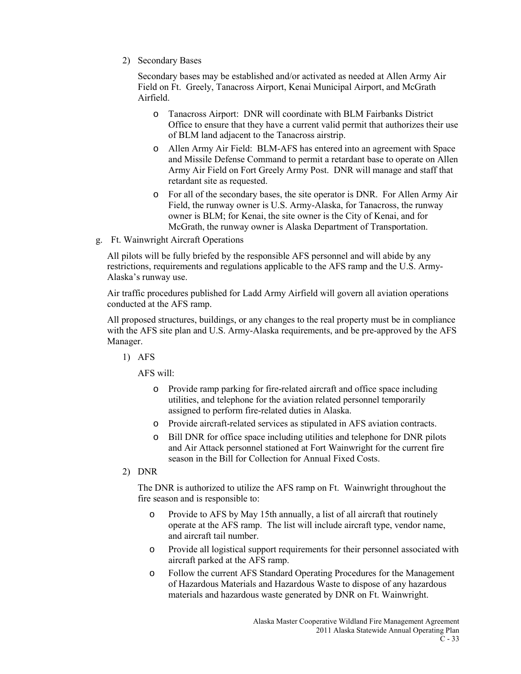2) Secondary Bases

Secondary bases may be established and/or activated as needed at Allen Army Air Field on Ft. Greely, Tanacross Airport, Kenai Municipal Airport, and McGrath Airfield.

- o Tanacross Airport: DNR will coordinate with BLM Fairbanks District Office to ensure that they have a current valid permit that authorizes their use of BLM land adjacent to the Tanacross airstrip.
- o Allen Army Air Field: BLM-AFS has entered into an agreement with Space and Missile Defense Command to permit a retardant base to operate on Allen Army Air Field on Fort Greely Army Post. DNR will manage and staff that retardant site as requested.
- o For all of the secondary bases, the site operator is DNR. For Allen Army Air Field, the runway owner is U.S. Army-Alaska, for Tanacross, the runway owner is BLM; for Kenai, the site owner is the City of Kenai, and for McGrath, the runway owner is Alaska Department of Transportation.
- g. Ft. Wainwright Aircraft Operations

All pilots will be fully briefed by the responsible AFS personnel and will abide by any restrictions, requirements and regulations applicable to the AFS ramp and the U.S. Army-Alaska's runway use.

Air traffic procedures published for Ladd Army Airfield will govern all aviation operations conducted at the AFS ramp.

All proposed structures, buildings, or any changes to the real property must be in compliance with the AFS site plan and U.S. Army-Alaska requirements, and be pre-approved by the AFS Manager.

1) AFS

AFS will:

- o Provide ramp parking for fire-related aircraft and office space including utilities, and telephone for the aviation related personnel temporarily assigned to perform fire-related duties in Alaska.
- o Provide aircraft-related services as stipulated in AFS aviation contracts.
- o Bill DNR for office space including utilities and telephone for DNR pilots and Air Attack personnel stationed at Fort Wainwright for the current fire season in the Bill for Collection for Annual Fixed Costs.
- 2) DNR

The DNR is authorized to utilize the AFS ramp on Ft. Wainwright throughout the fire season and is responsible to:

- o Provide to AFS by May 15th annually, a list of all aircraft that routinely operate at the AFS ramp. The list will include aircraft type, vendor name, and aircraft tail number.
- o Provide all logistical support requirements for their personnel associated with aircraft parked at the AFS ramp.
- o Follow the current AFS Standard Operating Procedures for the Management of Hazardous Materials and Hazardous Waste to dispose of any hazardous materials and hazardous waste generated by DNR on Ft. Wainwright.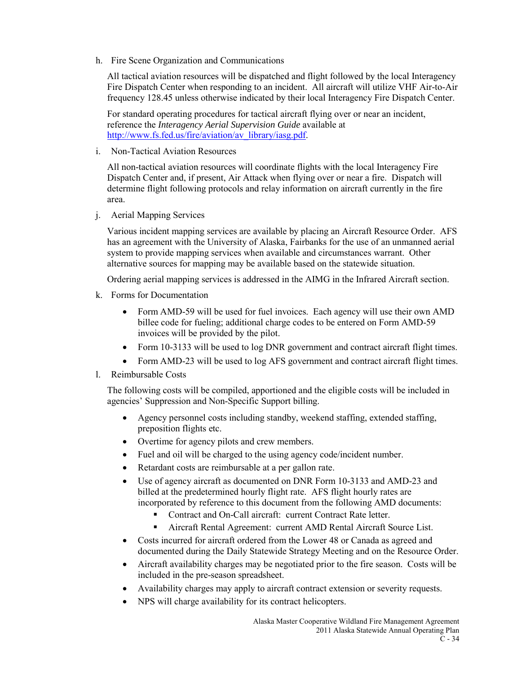h. Fire Scene Organization and Communications

All tactical aviation resources will be dispatched and flight followed by the local Interagency Fire Dispatch Center when responding to an incident. All aircraft will utilize VHF Air-to-Air frequency 128.45 unless otherwise indicated by their local Interagency Fire Dispatch Center.

For standard operating procedures for tactical aircraft flying over or near an incident, reference the *Interagency Aerial Supervision Guide* available at [http://www.fs.fed.us/fire/aviation/av\\_library/iasg.pdf.](http://www.fs.fed.us/fire/aviation/av_library/iasg.pdf)

i. Non-Tactical Aviation Resources

All non-tactical aviation resources will coordinate flights with the local Interagency Fire Dispatch Center and, if present, Air Attack when flying over or near a fire. Dispatch will determine flight following protocols and relay information on aircraft currently in the fire area.

j. Aerial Mapping Services

Various incident mapping services are available by placing an Aircraft Resource Order. AFS has an agreement with the University of Alaska, Fairbanks for the use of an unmanned aerial system to provide mapping services when available and circumstances warrant. Other alternative sources for mapping may be available based on the statewide situation.

Ordering aerial mapping services is addressed in the AIMG in the Infrared Aircraft section.

- k. Forms for Documentation
	- Form AMD-59 will be used for fuel invoices. Each agency will use their own AMD billee code for fueling; additional charge codes to be entered on Form AMD-59 invoices will be provided by the pilot.
	- Form 10-3133 will be used to log DNR government and contract aircraft flight times.
	- Form AMD-23 will be used to log AFS government and contract aircraft flight times.
- l. Reimbursable Costs

The following costs will be compiled, apportioned and the eligible costs will be included in agencies' Suppression and Non-Specific Support billing.

- Agency personnel costs including standby, weekend staffing, extended staffing, preposition flights etc.
- Overtime for agency pilots and crew members.
- Fuel and oil will be charged to the using agency code/incident number.
- Retardant costs are reimbursable at a per gallon rate.
- Use of agency aircraft as documented on DNR Form 10-3133 and AMD-23 and billed at the predetermined hourly flight rate. AFS flight hourly rates are incorporated by reference to this document from the following AMD documents:
	- Contract and On-Call aircraft: current Contract Rate letter.
	- Aircraft Rental Agreement: current AMD Rental Aircraft Source List.
- Costs incurred for aircraft ordered from the Lower 48 or Canada as agreed and documented during the Daily Statewide Strategy Meeting and on the Resource Order.
- Aircraft availability charges may be negotiated prior to the fire season. Costs will be included in the pre-season spreadsheet.
- Availability charges may apply to aircraft contract extension or severity requests.
- NPS will charge availability for its contract helicopters.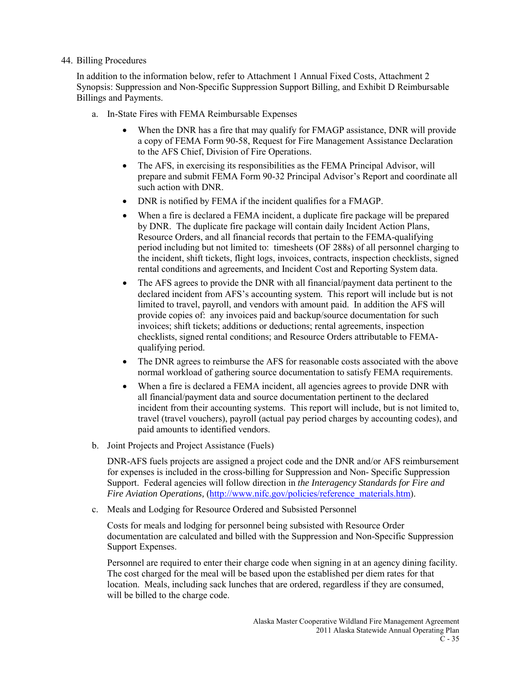### 44. Billing Procedures

In addition to the information below, refer to Attachment 1 Annual Fixed Costs, Attachment 2 Synopsis: Suppression and Non-Specific Suppression Support Billing, and Exhibit D Reimbursable Billings and Payments.

- a. In-State Fires with FEMA Reimbursable Expenses
	- When the DNR has a fire that may qualify for FMAGP assistance, DNR will provide a copy of FEMA Form 90-58, Request for Fire Management Assistance Declaration to the AFS Chief, Division of Fire Operations.
	- The AFS, in exercising its responsibilities as the FEMA Principal Advisor, will prepare and submit FEMA Form 90-32 Principal Advisor's Report and coordinate all such action with DNR.
	- DNR is notified by FEMA if the incident qualifies for a FMAGP.
	- When a fire is declared a FEMA incident, a duplicate fire package will be prepared by DNR. The duplicate fire package will contain daily Incident Action Plans, Resource Orders, and all financial records that pertain to the FEMA-qualifying period including but not limited to: timesheets (OF 288s) of all personnel charging to the incident, shift tickets, flight logs, invoices, contracts, inspection checklists, signed rental conditions and agreements, and Incident Cost and Reporting System data.
	- The AFS agrees to provide the DNR with all financial/payment data pertinent to the declared incident from AFS's accounting system. This report will include but is not limited to travel, payroll, and vendors with amount paid. In addition the AFS will provide copies of: any invoices paid and backup/source documentation for such invoices; shift tickets; additions or deductions; rental agreements, inspection checklists, signed rental conditions; and Resource Orders attributable to FEMAqualifying period.
	- The DNR agrees to reimburse the AFS for reasonable costs associated with the above normal workload of gathering source documentation to satisfy FEMA requirements.
	- When a fire is declared a FEMA incident, all agencies agrees to provide DNR with all financial/payment data and source documentation pertinent to the declared incident from their accounting systems. This report will include, but is not limited to, travel (travel vouchers), payroll (actual pay period charges by accounting codes), and paid amounts to identified vendors.
- b. Joint Projects and Project Assistance (Fuels)

DNR-AFS fuels projects are assigned a project code and the DNR and/or AFS reimbursement for expenses is included in the cross-billing for Suppression and Non- Specific Suppression Support. Federal agencies will follow direction in *the Interagency Standards for Fire and Fire Aviation Operations,* [\(http://www.nifc.gov/policies/reference\\_materials.htm\)](http://www.nifc.gov/policies/reference_materials.htm).

c. Meals and Lodging for Resource Ordered and Subsisted Personnel

Costs for meals and lodging for personnel being subsisted with Resource Order documentation are calculated and billed with the Suppression and Non-Specific Suppression Support Expenses.

Personnel are required to enter their charge code when signing in at an agency dining facility. The cost charged for the meal will be based upon the established per diem rates for that location. Meals, including sack lunches that are ordered, regardless if they are consumed, will be billed to the charge code.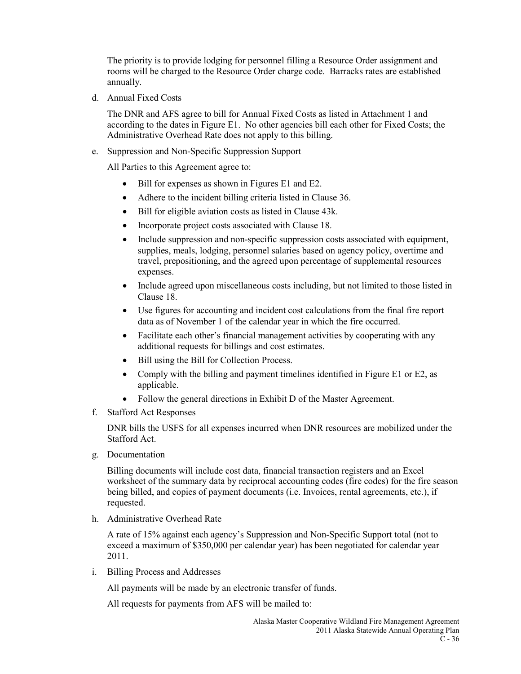The priority is to provide lodging for personnel filling a Resource Order assignment and rooms will be charged to the Resource Order charge code. Barracks rates are established annually.

d. Annual Fixed Costs

The DNR and AFS agree to bill for Annual Fixed Costs as listed in Attachment 1 and according to the dates in Figure E1. No other agencies bill each other for Fixed Costs; the Administrative Overhead Rate does not apply to this billing.

e. Suppression and Non-Specific Suppression Support

All Parties to this Agreement agree to:

- Bill for expenses as shown in Figures E1 and E2.
- Adhere to the incident billing criteria listed in Clause 36.
- Bill for eligible aviation costs as listed in Clause 43k.
- Incorporate project costs associated with Clause 18.
- Include suppression and non-specific suppression costs associated with equipment, supplies, meals, lodging, personnel salaries based on agency policy, overtime and travel, prepositioning, and the agreed upon percentage of supplemental resources expenses.
- Include agreed upon miscellaneous costs including, but not limited to those listed in Clause 18.
- Use figures for accounting and incident cost calculations from the final fire report data as of November 1 of the calendar year in which the fire occurred.
- Facilitate each other's financial management activities by cooperating with any additional requests for billings and cost estimates.
- Bill using the Bill for Collection Process.
- Comply with the billing and payment timelines identified in Figure E1 or E2, as applicable.
- Follow the general directions in Exhibit D of the Master Agreement.
- f. Stafford Act Responses

DNR bills the USFS for all expenses incurred when DNR resources are mobilized under the Stafford Act.

g. Documentation

Billing documents will include cost data, financial transaction registers and an Excel worksheet of the summary data by reciprocal accounting codes (fire codes) for the fire season being billed, and copies of payment documents (i.e. Invoices, rental agreements, etc.), if requested.

h. Administrative Overhead Rate

A rate of 15% against each agency's Suppression and Non-Specific Support total (not to exceed a maximum of \$350,000 per calendar year) has been negotiated for calendar year 2011.

i. Billing Process and Addresses

All payments will be made by an electronic transfer of funds.

All requests for payments from AFS will be mailed to: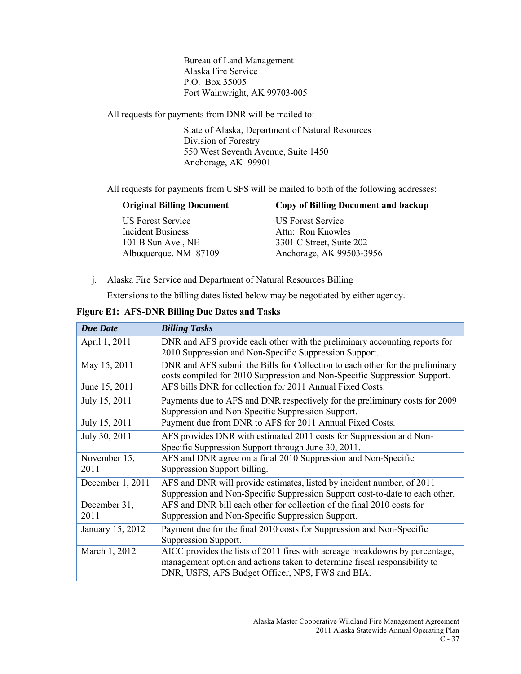Bureau of Land Management Alaska Fire Service P.O. Box 35005 Fort Wainwright, AK 99703-005

All requests for payments from DNR will be mailed to:

State of Alaska, Department of Natural Resources Division of Forestry 550 West Seventh Avenue, Suite 1450 Anchorage, AK 99901

All requests for payments from USFS will be mailed to both of the following addresses:

| <b>Original Billing Document</b> | <b>Copy of Billing Document and backup</b> |
|----------------------------------|--------------------------------------------|
| US Forest Service                | <b>US Forest Service</b>                   |
| <b>Incident Business</b>         | Attn: Ron Knowles                          |
| 101 B Sun Ave., NE               | 3301 C Street, Suite 202                   |
| Albuquerque, NM 87109            | Anchorage, AK 99503-3956                   |
|                                  |                                            |

j. Alaska Fire Service and Department of Natural Resources Billing

Extensions to the billing dates listed below may be negotiated by either agency.

| <b>Due Date</b>  | <b>Billing Tasks</b>                                                          |
|------------------|-------------------------------------------------------------------------------|
| April 1, 2011    | DNR and AFS provide each other with the preliminary accounting reports for    |
|                  | 2010 Suppression and Non-Specific Suppression Support.                        |
| May 15, 2011     | DNR and AFS submit the Bills for Collection to each other for the preliminary |
|                  | costs compiled for 2010 Suppression and Non-Specific Suppression Support.     |
| June 15, 2011    | AFS bills DNR for collection for 2011 Annual Fixed Costs.                     |
| July 15, 2011    | Payments due to AFS and DNR respectively for the preliminary costs for 2009   |
|                  | Suppression and Non-Specific Suppression Support.                             |
| July 15, 2011    | Payment due from DNR to AFS for 2011 Annual Fixed Costs.                      |
| July 30, 2011    | AFS provides DNR with estimated 2011 costs for Suppression and Non-           |
|                  | Specific Suppression Support through June 30, 2011.                           |
| November 15,     | AFS and DNR agree on a final 2010 Suppression and Non-Specific                |
| 2011             | Suppression Support billing.                                                  |
| December 1, 2011 | AFS and DNR will provide estimates, listed by incident number, of 2011        |
|                  | Suppression and Non-Specific Suppression Support cost-to-date to each other.  |
| December 31,     | AFS and DNR bill each other for collection of the final 2010 costs for        |
| 2011             | Suppression and Non-Specific Suppression Support.                             |
| January 15, 2012 | Payment due for the final 2010 costs for Suppression and Non-Specific         |
|                  | Suppression Support.                                                          |
| March 1, 2012    | AICC provides the lists of 2011 fires with acreage breakdowns by percentage,  |
|                  | management option and actions taken to determine fiscal responsibility to     |
|                  | DNR, USFS, AFS Budget Officer, NPS, FWS and BIA.                              |

**Figure E1: AFS-DNR Billing Due Dates and Tasks**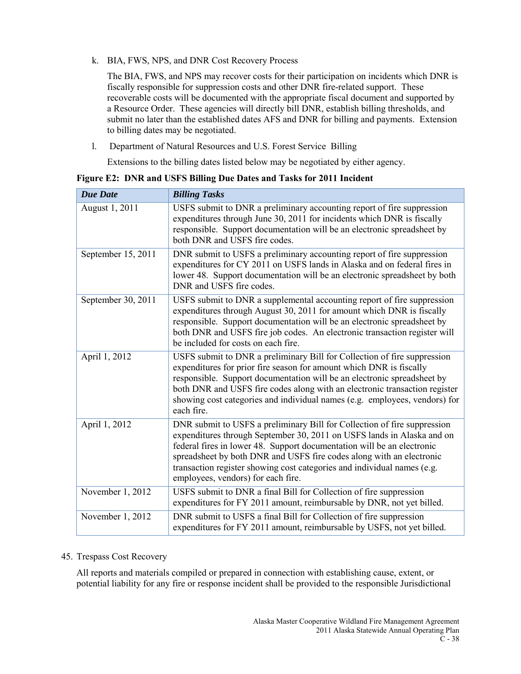k. BIA, FWS, NPS, and DNR Cost Recovery Process

The BIA, FWS, and NPS may recover costs for their participation on incidents which DNR is fiscally responsible for suppression costs and other DNR fire-related support. These recoverable costs will be documented with the appropriate fiscal document and supported by a Resource Order. These agencies will directly bill DNR, establish billing thresholds, and submit no later than the established dates AFS and DNR for billing and payments. Extension to billing dates may be negotiated.

l. Department of Natural Resources and U.S. Forest Service Billing

Extensions to the billing dates listed below may be negotiated by either agency.

**Figure E2: DNR and USFS Billing Due Dates and Tasks for 2011 Incident**

| <b>Due Date</b>    | <b>Billing Tasks</b>                                                                                                                                                                                                                                                                                                                                                                                                  |
|--------------------|-----------------------------------------------------------------------------------------------------------------------------------------------------------------------------------------------------------------------------------------------------------------------------------------------------------------------------------------------------------------------------------------------------------------------|
| August 1, 2011     | USFS submit to DNR a preliminary accounting report of fire suppression<br>expenditures through June 30, 2011 for incidents which DNR is fiscally<br>responsible. Support documentation will be an electronic spreadsheet by<br>both DNR and USFS fire codes.                                                                                                                                                          |
| September 15, 2011 | DNR submit to USFS a preliminary accounting report of fire suppression<br>expenditures for CY 2011 on USFS lands in Alaska and on federal fires in<br>lower 48. Support documentation will be an electronic spreadsheet by both<br>DNR and USFS fire codes.                                                                                                                                                           |
| September 30, 2011 | USFS submit to DNR a supplemental accounting report of fire suppression<br>expenditures through August 30, 2011 for amount which DNR is fiscally<br>responsible. Support documentation will be an electronic spreadsheet by<br>both DNR and USFS fire job codes. An electronic transaction register will<br>be included for costs on each fire.                                                                       |
| April 1, 2012      | USFS submit to DNR a preliminary Bill for Collection of fire suppression<br>expenditures for prior fire season for amount which DNR is fiscally<br>responsible. Support documentation will be an electronic spreadsheet by<br>both DNR and USFS fire codes along with an electronic transaction register<br>showing cost categories and individual names (e.g. employees, vendors) for<br>each fire.                  |
| April 1, 2012      | DNR submit to USFS a preliminary Bill for Collection of fire suppression<br>expenditures through September 30, 2011 on USFS lands in Alaska and on<br>federal fires in lower 48. Support documentation will be an electronic<br>spreadsheet by both DNR and USFS fire codes along with an electronic<br>transaction register showing cost categories and individual names (e.g.<br>employees, vendors) for each fire. |
| November 1, 2012   | USFS submit to DNR a final Bill for Collection of fire suppression<br>expenditures for FY 2011 amount, reimbursable by DNR, not yet billed.                                                                                                                                                                                                                                                                           |
| November 1, 2012   | DNR submit to USFS a final Bill for Collection of fire suppression<br>expenditures for FY 2011 amount, reimbursable by USFS, not yet billed.                                                                                                                                                                                                                                                                          |

# 45. Trespass Cost Recovery

All reports and materials compiled or prepared in connection with establishing cause, extent, or potential liability for any fire or response incident shall be provided to the responsible Jurisdictional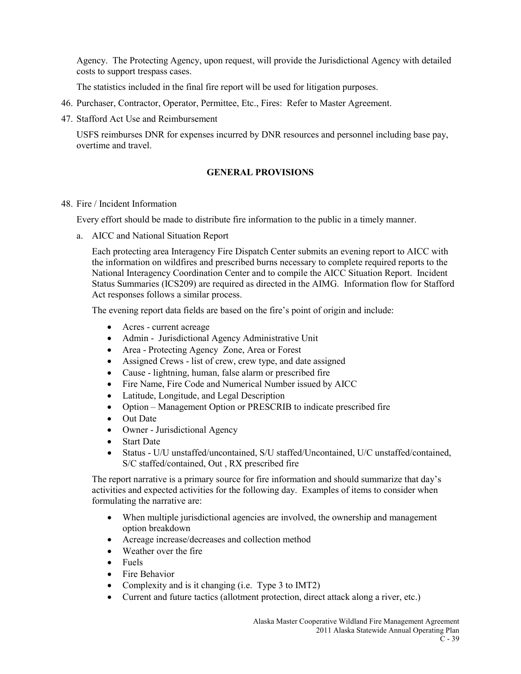Agency. The Protecting Agency, upon request, will provide the Jurisdictional Agency with detailed costs to support trespass cases.

The statistics included in the final fire report will be used for litigation purposes.

- 46. Purchaser, Contractor, Operator, Permittee, Etc., Fires: Refer to Master Agreement.
- 47. Stafford Act Use and Reimbursement

USFS reimburses DNR for expenses incurred by DNR resources and personnel including base pay, overtime and travel.

### **GENERAL PROVISIONS**

### 48. Fire / Incident Information

Every effort should be made to distribute fire information to the public in a timely manner.

a. AICC and National Situation Report

Each protecting area Interagency Fire Dispatch Center submits an evening report to AICC with the information on wildfires and prescribed burns necessary to complete required reports to the National Interagency Coordination Center and to compile the AICC Situation Report. Incident Status Summaries (ICS209) are required as directed in the AIMG. Information flow for Stafford Act responses follows a similar process.

The evening report data fields are based on the fire's point of origin and include:

- Acres current acreage
- Admin Jurisdictional Agency Administrative Unit
- Area Protecting Agency Zone, Area or Forest
- Assigned Crews list of crew, crew type, and date assigned
- Cause lightning, human, false alarm or prescribed fire
- Fire Name, Fire Code and Numerical Number issued by AICC
- Latitude, Longitude, and Legal Description
- Option Management Option or PRESCRIB to indicate prescribed fire
- Out Date
- Owner Jurisdictional Agency
- Start Date
- Status U/U unstaffed/uncontained, S/U staffed/Uncontained, U/C unstaffed/contained, S/C staffed/contained, Out , RX prescribed fire

The report narrative is a primary source for fire information and should summarize that day's activities and expected activities for the following day. Examples of items to consider when formulating the narrative are:

- When multiple jurisdictional agencies are involved, the ownership and management option breakdown
- Acreage increase/decreases and collection method
- Weather over the fire
- Fuels
- Fire Behavior
- Complexity and is it changing (i.e. Type 3 to IMT2)
- Current and future tactics (allotment protection, direct attack along a river, etc.)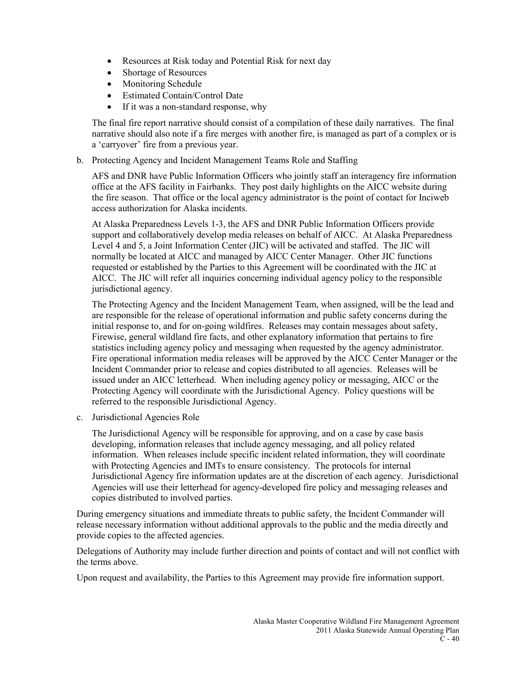- Resources at Risk today and Potential Risk for next day
- Shortage of Resources
- Monitoring Schedule
- Estimated Contain/Control Date
- If it was a non-standard response, why

The final fire report narrative should consist of a compilation of these daily narratives. The final narrative should also note if a fire merges with another fire, is managed as part of a complex or is a 'carryover' fire from a previous year.

b. Protecting Agency and Incident Management Teams Role and Staffing

AFS and DNR have Public Information Officers who jointly staff an interagency fire information office at the AFS facility in Fairbanks. They post daily highlights on the AICC website during the fire season. That office or the local agency administrator is the point of contact for Inciweb access authorization for Alaska incidents.

At Alaska Preparedness Levels 1-3, the AFS and DNR Public Information Officers provide support and collaboratively develop media releases on behalf of AICC. At Alaska Preparedness Level 4 and 5, a Joint Information Center (JIC) will be activated and staffed. The JIC will normally be located at AICC and managed by AICC Center Manager. Other JIC functions requested or established by the Parties to this Agreement will be coordinated with the JIC at AICC. The JIC will refer all inquiries concerning individual agency policy to the responsible jurisdictional agency.

The Protecting Agency and the Incident Management Team, when assigned, will be the lead and are responsible for the release of operational information and public safety concerns during the initial response to, and for on-going wildfires. Releases may contain messages about safety, Firewise, general wildland fire facts, and other explanatory information that pertains to fire statistics including agency policy and messaging when requested by the agency administrator. Fire operational information media releases will be approved by the AICC Center Manager or the Incident Commander prior to release and copies distributed to all agencies. Releases will be issued under an AICC letterhead. When including agency policy or messaging, AICC or the Protecting Agency will coordinate with the Jurisdictional Agency. Policy questions will be referred to the responsible Jurisdictional Agency.

c. Jurisdictional Agencies Role

The Jurisdictional Agency will be responsible for approving, and on a case by case basis developing, information releases that include agency messaging, and all policy related information. When releases include specific incident related information, they will coordinate with Protecting Agencies and IMTs to ensure consistency. The protocols for internal Jurisdictional Agency fire information updates are at the discretion of each agency. Jurisdictional Agencies will use their letterhead for agency-developed fire policy and messaging releases and copies distributed to involved parties.

During emergency situations and immediate threats to public safety, the Incident Commander will release necessary information without additional approvals to the public and the media directly and provide copies to the affected agencies.

Delegations of Authority may include further direction and points of contact and will not conflict with the terms above.

Upon request and availability, the Parties to this Agreement may provide fire information support.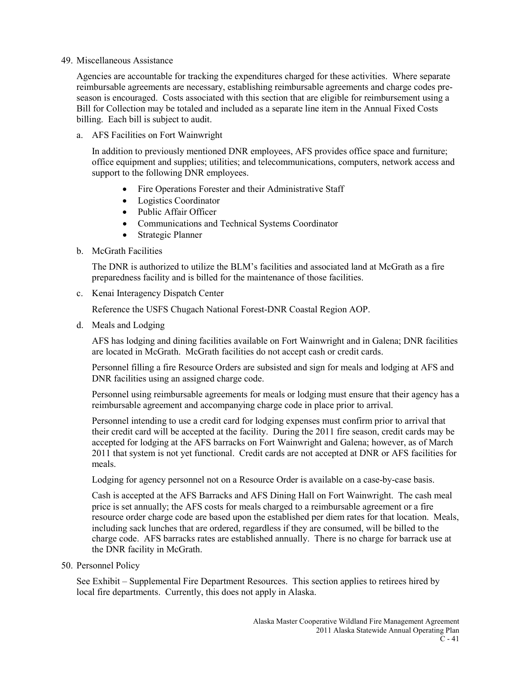#### 49. Miscellaneous Assistance

Agencies are accountable for tracking the expenditures charged for these activities. Where separate reimbursable agreements are necessary, establishing reimbursable agreements and charge codes preseason is encouraged. Costs associated with this section that are eligible for reimbursement using a Bill for Collection may be totaled and included as a separate line item in the Annual Fixed Costs billing. Each bill is subject to audit.

a. AFS Facilities on Fort Wainwright

In addition to previously mentioned DNR employees, AFS provides office space and furniture; office equipment and supplies; utilities; and telecommunications, computers, network access and support to the following DNR employees.

- Fire Operations Forester and their Administrative Staff
- Logistics Coordinator
- Public Affair Officer
- Communications and Technical Systems Coordinator
- Strategic Planner
- b. McGrath Facilities

The DNR is authorized to utilize the BLM's facilities and associated land at McGrath as a fire preparedness facility and is billed for the maintenance of those facilities.

c. Kenai Interagency Dispatch Center

Reference the USFS Chugach National Forest-DNR Coastal Region AOP.

d. Meals and Lodging

AFS has lodging and dining facilities available on Fort Wainwright and in Galena; DNR facilities are located in McGrath. McGrath facilities do not accept cash or credit cards.

Personnel filling a fire Resource Orders are subsisted and sign for meals and lodging at AFS and DNR facilities using an assigned charge code.

Personnel using reimbursable agreements for meals or lodging must ensure that their agency has a reimbursable agreement and accompanying charge code in place prior to arrival.

Personnel intending to use a credit card for lodging expenses must confirm prior to arrival that their credit card will be accepted at the facility. During the 2011 fire season, credit cards may be accepted for lodging at the AFS barracks on Fort Wainwright and Galena; however, as of March 2011 that system is not yet functional. Credit cards are not accepted at DNR or AFS facilities for meals.

Lodging for agency personnel not on a Resource Order is available on a case-by-case basis.

Cash is accepted at the AFS Barracks and AFS Dining Hall on Fort Wainwright. The cash meal price is set annually; the AFS costs for meals charged to a reimbursable agreement or a fire resource order charge code are based upon the established per diem rates for that location. Meals, including sack lunches that are ordered, regardless if they are consumed, will be billed to the charge code. AFS barracks rates are established annually. There is no charge for barrack use at the DNR facility in McGrath.

50. Personnel Policy

See Exhibit – Supplemental Fire Department Resources. This section applies to retirees hired by local fire departments. Currently, this does not apply in Alaska.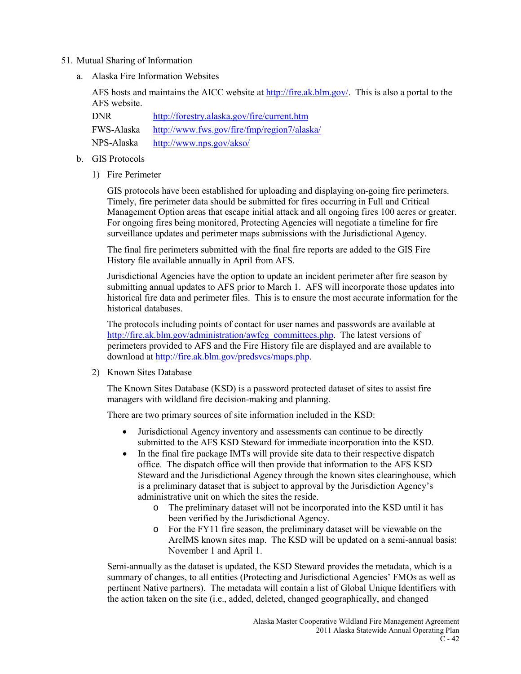#### 51. Mutual Sharing of Information

a. Alaska Fire Information Websites

AFS hosts and maintains the AICC website a[t http://fire.ak.blm.gov/.](http://fire.ak.blm.gov/) This is also a portal to the AFS website.

DNR <http://forestry.alaska.gov/fire/current.htm> FWS-Alaska <http://www.fws.gov/fire/fmp/region7/alaska/> NPS-Alaska <http://www.nps.gov/akso/>

### b. GIS Protocols

1) Fire Perimeter

GIS protocols have been established for uploading and displaying on-going fire perimeters. Timely, fire perimeter data should be submitted for fires occurring in Full and Critical Management Option areas that escape initial attack and all ongoing fires 100 acres or greater. For ongoing fires being monitored, Protecting Agencies will negotiate a timeline for fire surveillance updates and perimeter maps submissions with the Jurisdictional Agency.

The final fire perimeters submitted with the final fire reports are added to the GIS Fire History file available annually in April from AFS.

Jurisdictional Agencies have the option to update an incident perimeter after fire season by submitting annual updates to AFS prior to March 1. AFS will incorporate those updates into historical fire data and perimeter files. This is to ensure the most accurate information for the historical databases.

The protocols including points of contact for user names and passwords are available at [http://fire.ak.blm.gov/administration/awfcg\\_committees.php.](http://fire.ak.blm.gov/administration/awfcg_committees.php) The latest versions of perimeters provided to AFS and the Fire History file are displayed and are available to download at [http://fire.ak.blm.gov/predsvcs/maps.php.](http://fire.ak.blm.gov/predsvcs/maps.php)

2) Known Sites Database

The Known Sites Database (KSD) is a password protected dataset of sites to assist fire managers with wildland fire decision-making and planning.

There are two primary sources of site information included in the KSD:

- Jurisdictional Agency inventory and assessments can continue to be directly submitted to the AFS KSD Steward for immediate incorporation into the KSD.
- In the final fire package IMTs will provide site data to their respective dispatch office. The dispatch office will then provide that information to the AFS KSD Steward and the Jurisdictional Agency through the known sites clearinghouse, which is a preliminary dataset that is subject to approval by the Jurisdiction Agency's administrative unit on which the sites the reside.
	- o The preliminary dataset will not be incorporated into the KSD until it has been verified by the Jurisdictional Agency.
	- o For the FY11 fire season, the preliminary dataset will be viewable on the ArcIMS known sites map. The KSD will be updated on a semi-annual basis: November 1 and April 1.

Semi-annually as the dataset is updated, the KSD Steward provides the metadata, which is a summary of changes, to all entities (Protecting and Jurisdictional Agencies' FMOs as well as pertinent Native partners). The metadata will contain a list of Global Unique Identifiers with the action taken on the site (i.e., added, deleted, changed geographically, and changed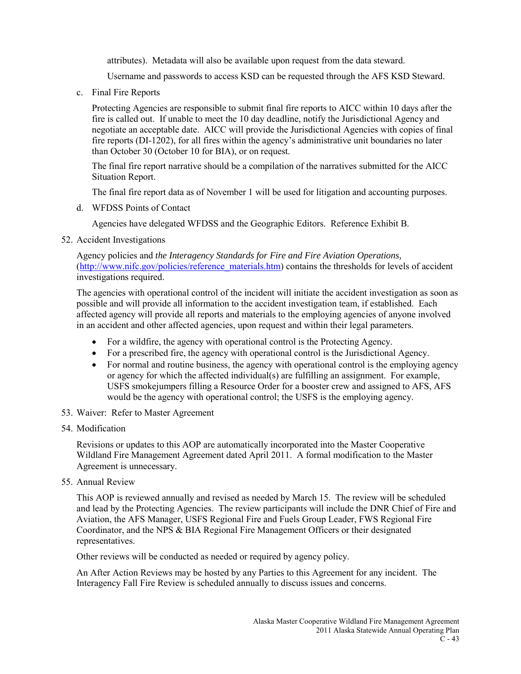attributes). Metadata will also be available upon request from the data steward.

Username and passwords to access KSD can be requested through the AFS KSD Steward.

c. Final Fire Reports

Protecting Agencies are responsible to submit final fire reports to AICC within 10 days after the fire is called out. If unable to meet the 10 day deadline, notify the Jurisdictional Agency and negotiate an acceptable date. AICC will provide the Jurisdictional Agencies with copies of final fire reports (DI-1202), for all fires within the agency's administrative unit boundaries no later than October 30 (October 10 for BIA), or on request.

The final fire report narrative should be a compilation of the narratives submitted for the AICC Situation Report.

The final fire report data as of November 1 will be used for litigation and accounting purposes.

d. WFDSS Points of Contact

Agencies have delegated WFDSS and the Geographic Editors. Reference Exhibit B.

52. Accident Investigations

Agency policies and *the Interagency Standards for Fire and Fire Aviation Operations,* [\(http://www.nifc.gov/policies/reference\\_materials.htm\)](http://www.nifc.gov/policies/reference_materials.htm) contains the thresholds for levels of accident investigations required.

The agencies with operational control of the incident will initiate the accident investigation as soon as possible and will provide all information to the accident investigation team, if established. Each affected agency will provide all reports and materials to the employing agencies of anyone involved in an accident and other affected agencies, upon request and within their legal parameters.

- For a wildfire, the agency with operational control is the Protecting Agency.
- For a prescribed fire, the agency with operational control is the Jurisdictional Agency.
- For normal and routine business, the agency with operational control is the employing agency or agency for which the affected individual(s) are fulfilling an assignment. For example, USFS smokejumpers filling a Resource Order for a booster crew and assigned to AFS, AFS would be the agency with operational control; the USFS is the employing agency.
- 53. Waiver: Refer to Master Agreement
- 54. Modification

Revisions or updates to this AOP are automatically incorporated into the Master Cooperative Wildland Fire Management Agreement dated April 2011. A formal modification to the Master Agreement is unnecessary.

55. Annual Review

This AOP is reviewed annually and revised as needed by March 15. The review will be scheduled and lead by the Protecting Agencies. The review participants will include the DNR Chief of Fire and Aviation, the AFS Manager, USFS Regional Fire and Fuels Group Leader, FWS Regional Fire Coordinator, and the NPS & BIA Regional Fire Management Officers or their designated representatives.

Other reviews will be conducted as needed or required by agency policy.

An After Action Reviews may be hosted by any Parties to this Agreement for any incident. The Interagency Fall Fire Review is scheduled annually to discuss issues and concerns.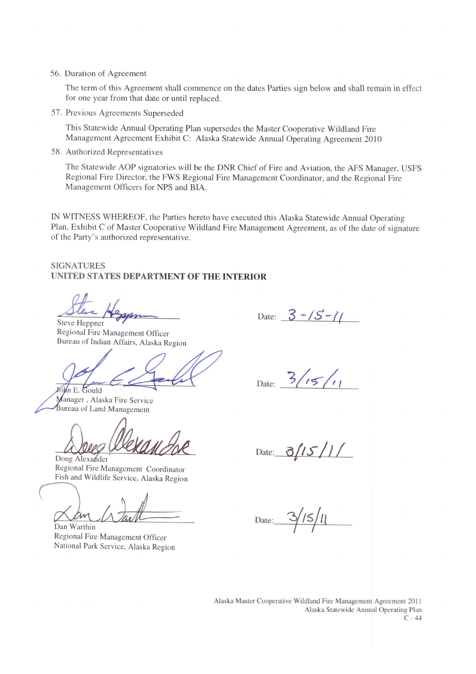56. Duration of Agreement

The term of this Agreement shall commence on the dates Parties sign below and shall remain in effect for one year from that date or until replaced.

57. Previous Agreements Superseded

This Statewide Annual Operating Plan supersedes the Master Cooperative Wildland Fire Management Agreement Exhibit C: Alaska Statewide Annual Operating Agreement 2010

58. Authorized Representatives

The Statewide AOP signatories will be the DNR Chief of Fire and Aviation, the AFS Manager, USFS Regional Fire Director, the FWS Regional Fire Management Coordinator, and the Regional Fire Management Officers for NPS and BIA.

IN WITNESS WHEREOF, the Parties hereto have executed this Alaska Statewide Annual Operating Plan, Exhibit C of Master Cooperative Wildland Fire Management Agreement, as of the date of signature of the Party's authorized representative.

### **SIGNATURES** UNITED STATES DEPARTMENT OF THE INTERIOR

Steve Heppner

Regional Fire Management Officer Bureau of Indian Affairs, Alaska Region

John E. Gould Manager, Alaska Fire Service Bureau of Land Management

Doug Alexander Regional Fire Management Coordinator Fish and Wildlife Service, Alaska Region

Dan Warthin Regional Fire Management Officer National Park Service, Alaska Region

Date:  $3 - 15 - 11$ 

Date:  $3/15/11$ 

 $3/15/1/$ Date:

Date:  $3/15/11$ 

Alaska Master Cooperative Wildland Fire Management Agreement 2011 Alaska Statewide Annual Operating Plan  $\overline{C}$  - 44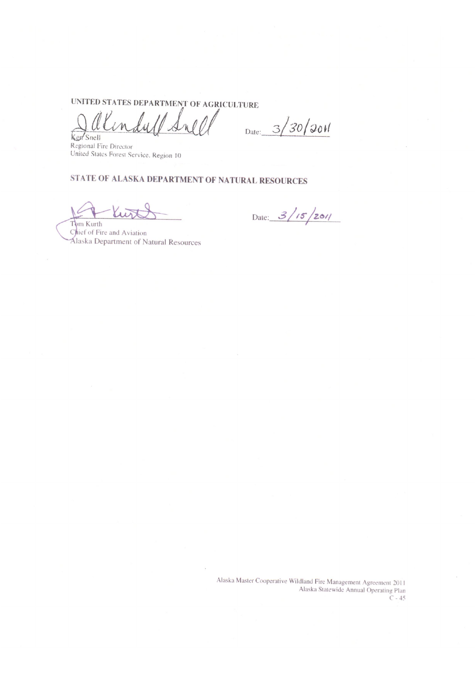UNITED STATES DEPARTMENT OF AGRICULTURE

wood  $\ell_{\mathcal{U}}$  $\sqrt{M}$  $\mathcal{A}$ Snell

Date:  $3/30/201$ 

Regional Fire Director United States Forest Service. Region 10

# STATE OF ALASKA DEPARTMENT OF NATURAL RESOURCES

Kur Tom Kurth

Date:  $3/15/201/$ 

Chief of Fire and Aviation Alaska Department of Natural Resources

> Alaska Master Cooperative Wildland Fire Management Agreement 2011 Alaska Statewide Annual Operating Plan  $C - 45$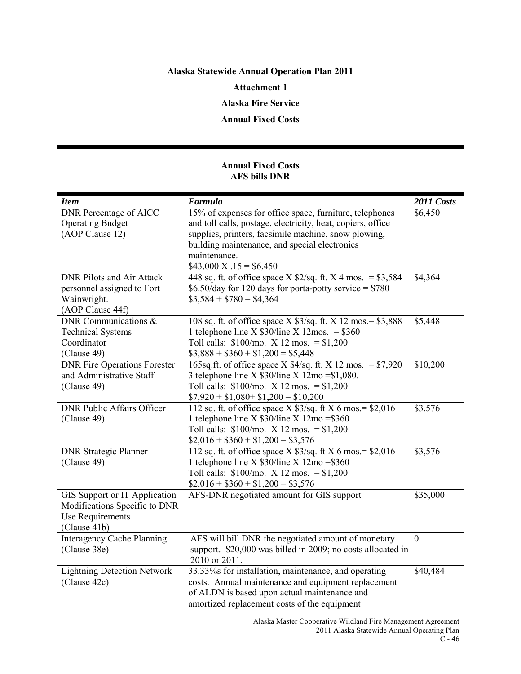# **Alaska Statewide Annual Operation Plan 2011**

#### **Attachment 1**

## **Alaska Fire Service**

#### **Annual Fixed Costs**

### **Annual Fixed Costs AFS bills DNR**

| <b>Item</b>                                                                                        | Formula                                                                                                                                                                                                                                                                             | 2011 Costs   |
|----------------------------------------------------------------------------------------------------|-------------------------------------------------------------------------------------------------------------------------------------------------------------------------------------------------------------------------------------------------------------------------------------|--------------|
| <b>DNR</b> Percentage of AICC<br><b>Operating Budget</b><br>(AOP Clause 12)                        | 15% of expenses for office space, furniture, telephones<br>and toll calls, postage, electricity, heat, copiers, office<br>supplies, printers, facsimile machine, snow plowing,<br>building maintenance, and special electronics<br>maintenance.<br>$$43,000 \text{ X} .15 = $6,450$ | \$6,450      |
| <b>DNR Pilots and Air Attack</b><br>personnel assigned to Fort<br>Wainwright.<br>(AOP Clause 44f)  | 448 sq. ft. of office space $X$ \$2/sq. ft. $X$ 4 mos. = \$3,584<br>\$6.50/day for 120 days for porta-potty service = $$780$<br>$\$3,584 + \$780 = \$4,364$                                                                                                                         | \$4,364      |
| DNR Communications $\&$<br><b>Technical Systems</b><br>Coordinator<br>(Clause 49)                  | 108 sq. ft. of office space X \$3/sq. ft. X 12 mos. = \$3,888<br>1 telephone line X $$30/$ line X 12mos. = \$360<br>Toll calls: $$100/mo$ . X 12 mos. = $$1,200$<br>$$3,888 + $360 + $1,200 = $5,448$                                                                               | \$5,448      |
| <b>DNR Fire Operations Forester</b><br>and Administrative Staff<br>(Clause 49)                     | 165sq.ft. of office space X $$4/sq$ .ft. X 12 mos. = \$7,920<br>3 telephone line X $$30/$ line X $12$ mo = \$1,080.<br>Toll calls: $$100/mo$ . X 12 mos. = \$1,200<br>$$7,920 + $1,080 + $1,200 = $10,200$                                                                          | \$10,200     |
| <b>DNR Public Affairs Officer</b><br>(Clause 49)                                                   | 112 sq. ft. of office space $X$ \$3/sq. ft $X$ 6 mos. = \$2,016<br>1 telephone line X $$30$ /line X $12$ mo = \$360<br>Toll calls: $$100/$ mo. X 12 mos. = $$1,200$<br>$$2,016 + $360 + $1,200 = $3,576$                                                                            | \$3,576      |
| <b>DNR Strategic Planner</b><br>(Clause 49)                                                        | 112 sq. ft. of office space $X$ \$3/sq. ft $X$ 6 mos. = \$2,016<br>1 telephone line X $$30$ /line X $12$ mo = \$360<br>Toll calls: $$100/mo$ . X 12 mos. = $$1,200$<br>$$2,016 + $360 + $1,200 = $3,576$                                                                            | \$3,576      |
| GIS Support or IT Application<br>Modifications Specific to DNR<br>Use Requirements<br>(Clause 41b) | AFS-DNR negotiated amount for GIS support                                                                                                                                                                                                                                           | \$35,000     |
| <b>Interagency Cache Planning</b><br>(Clause 38e)                                                  | AFS will bill DNR the negotiated amount of monetary<br>support. \$20,000 was billed in 2009; no costs allocated in<br>2010 or 2011.                                                                                                                                                 | $\mathbf{0}$ |
| <b>Lightning Detection Network</b><br>(Clause 42c)                                                 | 33.33% for installation, maintenance, and operating<br>costs. Annual maintenance and equipment replacement<br>of ALDN is based upon actual maintenance and<br>amortized replacement costs of the equipment                                                                          | \$40,484     |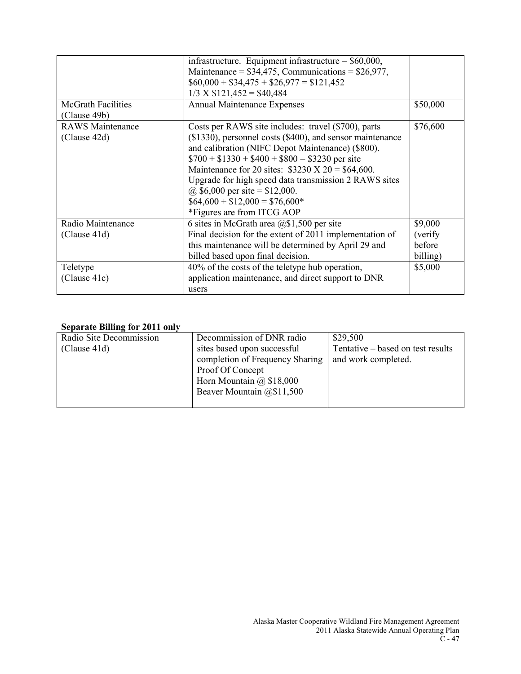| <b>McGrath Facilities</b>                                     | infrastructure. Equipment infrastructure = $$60,000$ ,<br>Maintenance = $$34,475$ , Communications = $$26,977$ ,<br>$$60,000 + $34,475 + $26,977 = $121,452$<br>$1/3$ X \$121,452 = \$40,484<br><b>Annual Maintenance Expenses</b>                                                                                                                                                                                                               | \$50,000                                             |
|---------------------------------------------------------------|--------------------------------------------------------------------------------------------------------------------------------------------------------------------------------------------------------------------------------------------------------------------------------------------------------------------------------------------------------------------------------------------------------------------------------------------------|------------------------------------------------------|
| (Clause 49b)<br><b>RAWS</b> Maintenance<br>(Clause 42d)       | Costs per RAWS site includes: travel (\$700), parts<br>(\$1330), personnel costs (\$400), and sensor maintenance<br>and calibration (NIFC Depot Maintenance) (\$800).<br>$$700 + $1330 + $400 + $800 = $3230$ per site<br>Maintenance for 20 sites: $$3230 \text{ X } 20 = $64,600$ .<br>Upgrade for high speed data transmission 2 RAWS sites<br>@ \$6,000 per site = \$12,000.<br>$$64,600 + $12,000 = $76,600*$<br>*Figures are from ITCG AOP | \$76,600                                             |
| Radio Maintenance<br>(Clause 41d)<br>Teletype<br>(Clause 41c) | 6 sites in McGrath area $(20, 1, 500)$ per site<br>Final decision for the extent of 2011 implementation of<br>this maintenance will be determined by April 29 and<br>billed based upon final decision.<br>40% of the costs of the teletype hub operation,<br>application maintenance, and direct support to DNR<br>users                                                                                                                         | \$9,000<br>(verify)<br>before<br>billing)<br>\$5,000 |

### **Separate Billing for 2011 only**

| Radio Site Decommission | Decommission of DNR radio       | \$29,500                          |
|-------------------------|---------------------------------|-----------------------------------|
| (Clause 41d)            | sites based upon successful     | Tentative – based on test results |
|                         | completion of Frequency Sharing | and work completed.               |
|                         | Proof Of Concept                |                                   |
|                         | Horn Mountain $\omega$ \$18,000 |                                   |
|                         | Beaver Mountain @\$11,500       |                                   |
|                         |                                 |                                   |